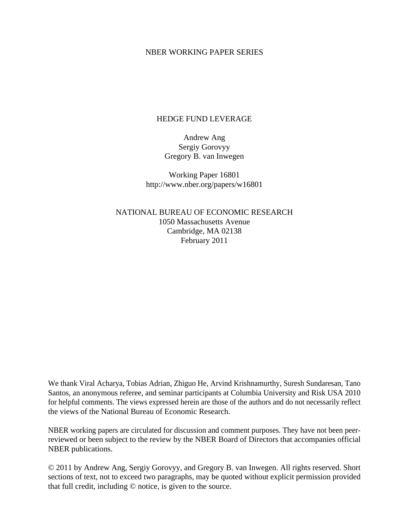### NBER WORKING PAPER SERIES

### HEDGE FUND LEVERAGE

Andrew Ang Sergiy Gorovyy Gregory B. van Inwegen

Working Paper 16801 http://www.nber.org/papers/w16801

## NATIONAL BUREAU OF ECONOMIC RESEARCH 1050 Massachusetts Avenue Cambridge, MA 02138 February 2011

We thank Viral Acharya, Tobias Adrian, Zhiguo He, Arvind Krishnamurthy, Suresh Sundaresan, Tano Santos, an anonymous referee, and seminar participants at Columbia University and Risk USA 2010 for helpful comments. The views expressed herein are those of the authors and do not necessarily reflect the views of the National Bureau of Economic Research.

NBER working papers are circulated for discussion and comment purposes. They have not been peerreviewed or been subject to the review by the NBER Board of Directors that accompanies official NBER publications.

© 2011 by Andrew Ang, Sergiy Gorovyy, and Gregory B. van Inwegen. All rights reserved. Short sections of text, not to exceed two paragraphs, may be quoted without explicit permission provided that full credit, including © notice, is given to the source.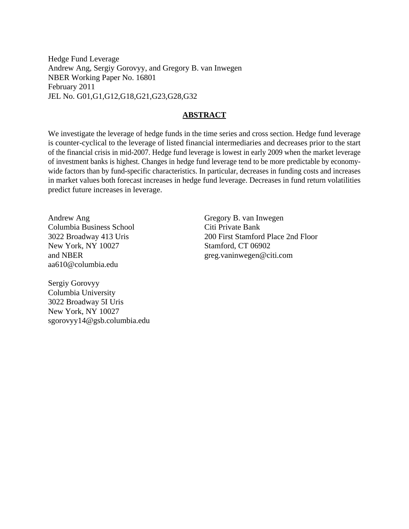Hedge Fund Leverage Andrew Ang, Sergiy Gorovyy, and Gregory B. van Inwegen NBER Working Paper No. 16801 February 2011 JEL No. G01,G1,G12,G18,G21,G23,G28,G32

### **ABSTRACT**

We investigate the leverage of hedge funds in the time series and cross section. Hedge fund leverage is counter-cyclical to the leverage of listed financial intermediaries and decreases prior to the start of the financial crisis in mid-2007. Hedge fund leverage is lowest in early 2009 when the market leverage of investment banks is highest. Changes in hedge fund leverage tend to be more predictable by economywide factors than by fund-specific characteristics. In particular, decreases in funding costs and increases in market values both forecast increases in hedge fund leverage. Decreases in fund return volatilities predict future increases in leverage.

Andrew Ang Columbia Business School 3022 Broadway 413 Uris New York, NY 10027 and NBER aa610@columbia.edu

Sergiy Gorovyy Columbia University 3022 Broadway 5I Uris New York, NY 10027 sgorovyy14@gsb.columbia.edu Gregory B. van Inwegen Citi Private Bank 200 First Stamford Place 2nd Floor Stamford, CT 06902 greg.vaninwegen@citi.com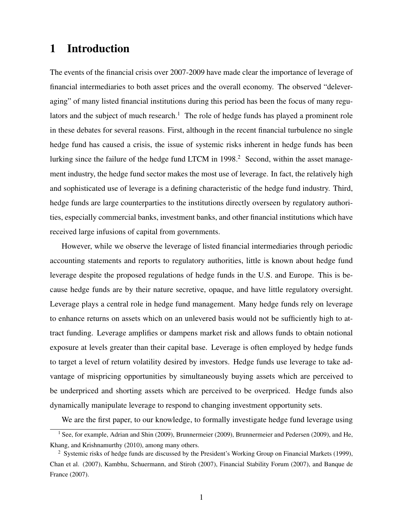# 1 Introduction

The events of the financial crisis over 2007-2009 have made clear the importance of leverage of financial intermediaries to both asset prices and the overall economy. The observed "deleveraging" of many listed financial institutions during this period has been the focus of many regulators and the subject of much research.<sup>1</sup> The role of hedge funds has played a prominent role in these debates for several reasons. First, although in the recent financial turbulence no single hedge fund has caused a crisis, the issue of systemic risks inherent in hedge funds has been lurking since the failure of the hedge fund LTCM in  $1998<sup>2</sup>$  Second, within the asset management industry, the hedge fund sector makes the most use of leverage. In fact, the relatively high and sophisticated use of leverage is a defining characteristic of the hedge fund industry. Third, hedge funds are large counterparties to the institutions directly overseen by regulatory authorities, especially commercial banks, investment banks, and other financial institutions which have received large infusions of capital from governments.

However, while we observe the leverage of listed financial intermediaries through periodic accounting statements and reports to regulatory authorities, little is known about hedge fund leverage despite the proposed regulations of hedge funds in the U.S. and Europe. This is because hedge funds are by their nature secretive, opaque, and have little regulatory oversight. Leverage plays a central role in hedge fund management. Many hedge funds rely on leverage to enhance returns on assets which on an unlevered basis would not be sufficiently high to attract funding. Leverage amplifies or dampens market risk and allows funds to obtain notional exposure at levels greater than their capital base. Leverage is often employed by hedge funds to target a level of return volatility desired by investors. Hedge funds use leverage to take advantage of mispricing opportunities by simultaneously buying assets which are perceived to be underpriced and shorting assets which are perceived to be overpriced. Hedge funds also dynamically manipulate leverage to respond to changing investment opportunity sets.

We are the first paper, to our knowledge, to formally investigate hedge fund leverage using

<sup>&</sup>lt;sup>1</sup> See, for example, Adrian and Shin (2009), Brunnermeier (2009), Brunnermeier and Pedersen (2009), and He, Khang, and Krishnamurthy (2010), among many others.

<sup>&</sup>lt;sup>2</sup> Systemic risks of hedge funds are discussed by the President's Working Group on Financial Markets (1999), Chan et al. (2007), Kambhu, Schuermann, and Stiroh (2007), Financial Stability Forum (2007), and Banque de France (2007).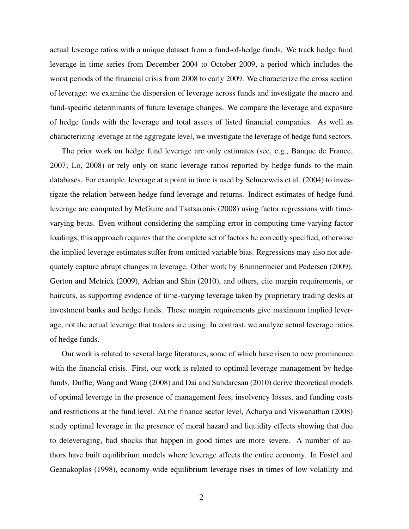actual leverage ratios with a unique dataset from a fund-of-hedge funds. We track hedge fund leverage in time series from December 2004 to October 2009, a period which includes the worst periods of the financial crisis from 2008 to early 2009. We characterize the cross section of leverage: we examine the dispersion of leverage across funds and investigate the macro and fund-specific determinants of future leverage changes. We compare the leverage and exposure of hedge funds with the leverage and total assets of listed financial companies. As well as characterizing leverage at the aggregate level, we investigate the leverage of hedge fund sectors.

The prior work on hedge fund leverage are only estimates (see, e.g., Banque de France, 2007; Lo, 2008) or rely only on static leverage ratios reported by hedge funds to the main databases. For example, leverage at a point in time is used by Schneeweis et al. (2004) to investigate the relation between hedge fund leverage and returns. Indirect estimates of hedge fund leverage are computed by McGuire and Tsatsaronis (2008) using factor regressions with timevarying betas. Even without considering the sampling error in computing time-varying factor loadings, this approach requires that the complete set of factors be correctly specified, otherwise the implied leverage estimates suffer from omitted variable bias. Regressions may also not adequately capture abrupt changes in leverage. Other work by Brunnermeier and Pedersen (2009), Gorton and Metrick (2009), Adrian and Shin (2010), and others, cite margin requirements, or haircuts, as supporting evidence of time-varying leverage taken by proprietary trading desks at investment banks and hedge funds. These margin requirements give maximum implied leverage, not the actual leverage that traders are using. In contrast, we analyze actual leverage ratios of hedge funds.

Our work is related to several large literatures, some of which have risen to new prominence with the financial crisis. First, our work is related to optimal leverage management by hedge funds. Duffie, Wang and Wang (2008) and Dai and Sundaresan (2010) derive theoretical models of optimal leverage in the presence of management fees, insolvency losses, and funding costs and restrictions at the fund level. At the finance sector level, Acharya and Viswanathan (2008) study optimal leverage in the presence of moral hazard and liquidity effects showing that due to deleveraging, bad shocks that happen in good times are more severe. A number of authors have built equilibrium models where leverage affects the entire economy. In Fostel and Geanakoplos (1998), economy-wide equilibrium leverage rises in times of low volatility and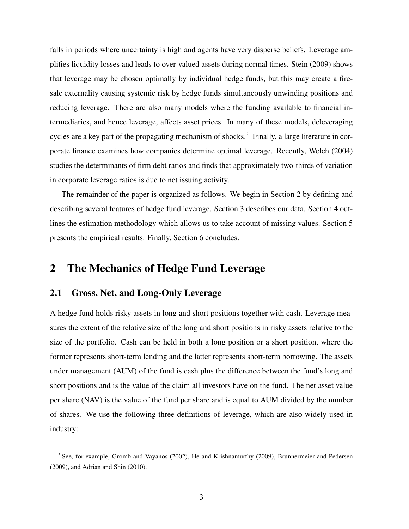falls in periods where uncertainty is high and agents have very disperse beliefs. Leverage amplifies liquidity losses and leads to over-valued assets during normal times. Stein (2009) shows that leverage may be chosen optimally by individual hedge funds, but this may create a firesale externality causing systemic risk by hedge funds simultaneously unwinding positions and reducing leverage. There are also many models where the funding available to financial intermediaries, and hence leverage, affects asset prices. In many of these models, deleveraging cycles are a key part of the propagating mechanism of shocks.<sup>3</sup> Finally, a large literature in corporate finance examines how companies determine optimal leverage. Recently, Welch (2004) studies the determinants of firm debt ratios and finds that approximately two-thirds of variation in corporate leverage ratios is due to net issuing activity.

The remainder of the paper is organized as follows. We begin in Section 2 by defining and describing several features of hedge fund leverage. Section 3 describes our data. Section 4 outlines the estimation methodology which allows us to take account of missing values. Section 5 presents the empirical results. Finally, Section 6 concludes.

# 2 The Mechanics of Hedge Fund Leverage

### 2.1 Gross, Net, and Long-Only Leverage

A hedge fund holds risky assets in long and short positions together with cash. Leverage measures the extent of the relative size of the long and short positions in risky assets relative to the size of the portfolio. Cash can be held in both a long position or a short position, where the former represents short-term lending and the latter represents short-term borrowing. The assets under management (AUM) of the fund is cash plus the difference between the fund's long and short positions and is the value of the claim all investors have on the fund. The net asset value per share (NAV) is the value of the fund per share and is equal to AUM divided by the number of shares. We use the following three definitions of leverage, which are also widely used in industry:

 $3$  See, for example, Gromb and Vayanos (2002), He and Krishnamurthy (2009), Brunnermeier and Pedersen (2009), and Adrian and Shin (2010).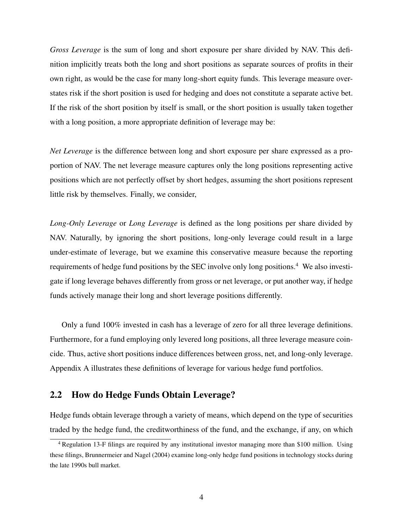*Gross Leverage* is the sum of long and short exposure per share divided by NAV. This definition implicitly treats both the long and short positions as separate sources of profits in their own right, as would be the case for many long-short equity funds. This leverage measure overstates risk if the short position is used for hedging and does not constitute a separate active bet. If the risk of the short position by itself is small, or the short position is usually taken together with a long position, a more appropriate definition of leverage may be:

*Net Leverage* is the difference between long and short exposure per share expressed as a proportion of NAV. The net leverage measure captures only the long positions representing active positions which are not perfectly offset by short hedges, assuming the short positions represent little risk by themselves. Finally, we consider,

*Long-Only Leverage* or *Long Leverage* is defined as the long positions per share divided by NAV. Naturally, by ignoring the short positions, long-only leverage could result in a large under-estimate of leverage, but we examine this conservative measure because the reporting requirements of hedge fund positions by the SEC involve only long positions.<sup>4</sup> We also investigate if long leverage behaves differently from gross or net leverage, or put another way, if hedge funds actively manage their long and short leverage positions differently.

Only a fund 100% invested in cash has a leverage of zero for all three leverage definitions. Furthermore, for a fund employing only levered long positions, all three leverage measure coincide. Thus, active short positions induce differences between gross, net, and long-only leverage. Appendix A illustrates these definitions of leverage for various hedge fund portfolios.

### 2.2 How do Hedge Funds Obtain Leverage?

Hedge funds obtain leverage through a variety of means, which depend on the type of securities traded by the hedge fund, the creditworthiness of the fund, and the exchange, if any, on which

<sup>4</sup> Regulation 13-F filings are required by any institutional investor managing more than \$100 million. Using these filings, Brunnermeier and Nagel (2004) examine long-only hedge fund positions in technology stocks during the late 1990s bull market.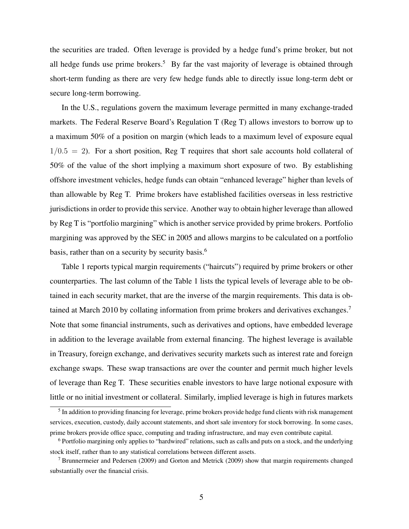the securities are traded. Often leverage is provided by a hedge fund's prime broker, but not all hedge funds use prime brokers.<sup>5</sup> By far the vast majority of leverage is obtained through short-term funding as there are very few hedge funds able to directly issue long-term debt or secure long-term borrowing.

In the U.S., regulations govern the maximum leverage permitted in many exchange-traded markets. The Federal Reserve Board's Regulation T (Reg T) allows investors to borrow up to a maximum 50% of a position on margin (which leads to a maximum level of exposure equal  $1/0.5 = 2$ ). For a short position, Reg T requires that short sale accounts hold collateral of 50% of the value of the short implying a maximum short exposure of two. By establishing offshore investment vehicles, hedge funds can obtain "enhanced leverage" higher than levels of than allowable by Reg T. Prime brokers have established facilities overseas in less restrictive jurisdictions in order to provide this service. Another way to obtain higher leverage than allowed by Reg T is "portfolio margining" which is another service provided by prime brokers. Portfolio margining was approved by the SEC in 2005 and allows margins to be calculated on a portfolio basis, rather than on a security by security basis.<sup>6</sup>

Table 1 reports typical margin requirements ("haircuts") required by prime brokers or other counterparties. The last column of the Table 1 lists the typical levels of leverage able to be obtained in each security market, that are the inverse of the margin requirements. This data is obtained at March 2010 by collating information from prime brokers and derivatives exchanges.<sup>7</sup> Note that some financial instruments, such as derivatives and options, have embedded leverage in addition to the leverage available from external financing. The highest leverage is available in Treasury, foreign exchange, and derivatives security markets such as interest rate and foreign exchange swaps. These swap transactions are over the counter and permit much higher levels of leverage than Reg T. These securities enable investors to have large notional exposure with little or no initial investment or collateral. Similarly, implied leverage is high in futures markets

<sup>&</sup>lt;sup>5</sup> In addition to providing financing for leverage, prime brokers provide hedge fund clients with risk management services, execution, custody, daily account statements, and short sale inventory for stock borrowing. In some cases, prime brokers provide office space, computing and trading infrastructure, and may even contribute capital.

<sup>6</sup> Portfolio margining only applies to "hardwired" relations, such as calls and puts on a stock, and the underlying stock itself, rather than to any statistical correlations between different assets.

<sup>&</sup>lt;sup>7</sup> Brunnermeier and Pedersen (2009) and Gorton and Metrick (2009) show that margin requirements changed substantially over the financial crisis.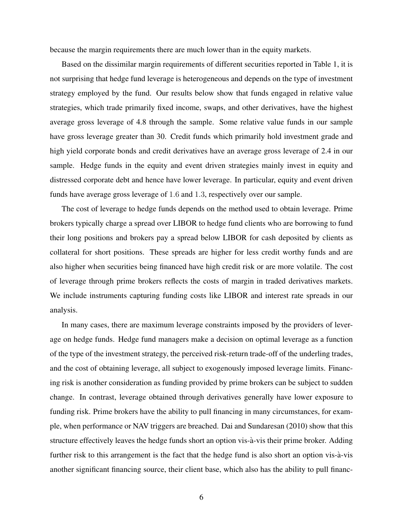because the margin requirements there are much lower than in the equity markets.

Based on the dissimilar margin requirements of different securities reported in Table 1, it is not surprising that hedge fund leverage is heterogeneous and depends on the type of investment strategy employed by the fund. Our results below show that funds engaged in relative value strategies, which trade primarily fixed income, swaps, and other derivatives, have the highest average gross leverage of 4.8 through the sample. Some relative value funds in our sample have gross leverage greater than 30. Credit funds which primarily hold investment grade and high yield corporate bonds and credit derivatives have an average gross leverage of 2.4 in our sample. Hedge funds in the equity and event driven strategies mainly invest in equity and distressed corporate debt and hence have lower leverage. In particular, equity and event driven funds have average gross leverage of 1*.*6 and 1*.*3, respectively over our sample.

The cost of leverage to hedge funds depends on the method used to obtain leverage. Prime brokers typically charge a spread over LIBOR to hedge fund clients who are borrowing to fund their long positions and brokers pay a spread below LIBOR for cash deposited by clients as collateral for short positions. These spreads are higher for less credit worthy funds and are also higher when securities being financed have high credit risk or are more volatile. The cost of leverage through prime brokers reflects the costs of margin in traded derivatives markets. We include instruments capturing funding costs like LIBOR and interest rate spreads in our analysis.

In many cases, there are maximum leverage constraints imposed by the providers of leverage on hedge funds. Hedge fund managers make a decision on optimal leverage as a function of the type of the investment strategy, the perceived risk-return trade-off of the underling trades, and the cost of obtaining leverage, all subject to exogenously imposed leverage limits. Financing risk is another consideration as funding provided by prime brokers can be subject to sudden change. In contrast, leverage obtained through derivatives generally have lower exposure to funding risk. Prime brokers have the ability to pull financing in many circumstances, for example, when performance or NAV triggers are breached. Dai and Sundaresan (2010) show that this structure effectively leaves the hedge funds short an option vis-à-vis their prime broker. Adding further risk to this arrangement is the fact that the hedge fund is also short an option vis-à-vis another significant financing source, their client base, which also has the ability to pull financ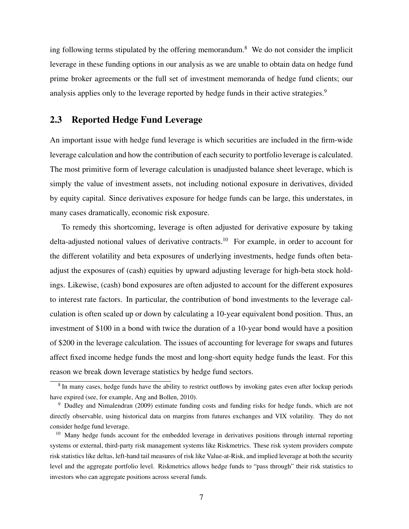ing following terms stipulated by the offering memorandum.<sup>8</sup> We do not consider the implicit leverage in these funding options in our analysis as we are unable to obtain data on hedge fund prime broker agreements or the full set of investment memoranda of hedge fund clients; our analysis applies only to the leverage reported by hedge funds in their active strategies.<sup>9</sup>

## 2.3 Reported Hedge Fund Leverage

An important issue with hedge fund leverage is which securities are included in the firm-wide leverage calculation and how the contribution of each security to portfolio leverage is calculated. The most primitive form of leverage calculation is unadjusted balance sheet leverage, which is simply the value of investment assets, not including notional exposure in derivatives, divided by equity capital. Since derivatives exposure for hedge funds can be large, this understates, in many cases dramatically, economic risk exposure.

To remedy this shortcoming, leverage is often adjusted for derivative exposure by taking delta-adjusted notional values of derivative contracts.<sup>10</sup> For example, in order to account for the different volatility and beta exposures of underlying investments, hedge funds often betaadjust the exposures of (cash) equities by upward adjusting leverage for high-beta stock holdings. Likewise, (cash) bond exposures are often adjusted to account for the different exposures to interest rate factors. In particular, the contribution of bond investments to the leverage calculation is often scaled up or down by calculating a 10-year equivalent bond position. Thus, an investment of \$100 in a bond with twice the duration of a 10-year bond would have a position of \$200 in the leverage calculation. The issues of accounting for leverage for swaps and futures affect fixed income hedge funds the most and long-short equity hedge funds the least. For this reason we break down leverage statistics by hedge fund sectors.

<sup>&</sup>lt;sup>8</sup> In many cases, hedge funds have the ability to restrict outflows by invoking gates even after lockup periods have expired (see, for example, Ang and Bollen, 2010).

<sup>9</sup> Dudley and Nimalendran (2009) estimate funding costs and funding risks for hedge funds, which are not directly observable, using historical data on margins from futures exchanges and VIX volatility. They do not consider hedge fund leverage.

<sup>&</sup>lt;sup>10</sup> Many hedge funds account for the embedded leverage in derivatives positions through internal reporting systems or external, third-party risk management systems like Riskmetrics. These risk system providers compute risk statistics like deltas, left-hand tail measures of risk like Value-at-Risk, and implied leverage at both the security level and the aggregate portfolio level. Riskmetrics allows hedge funds to "pass through" their risk statistics to investors who can aggregate positions across several funds.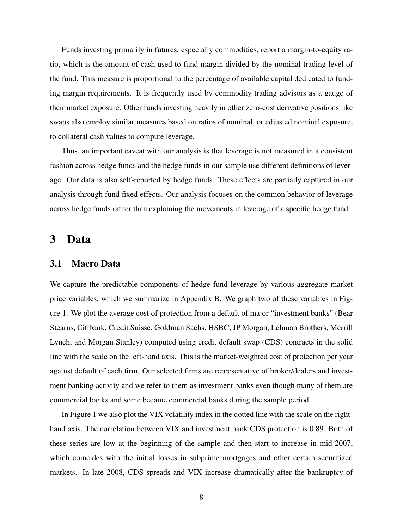Funds investing primarily in futures, especially commodities, report a margin-to-equity ratio, which is the amount of cash used to fund margin divided by the nominal trading level of the fund. This measure is proportional to the percentage of available capital dedicated to funding margin requirements. It is frequently used by commodity trading advisors as a gauge of their market exposure. Other funds investing heavily in other zero-cost derivative positions like swaps also employ similar measures based on ratios of nominal, or adjusted nominal exposure, to collateral cash values to compute leverage.

Thus, an important caveat with our analysis is that leverage is not measured in a consistent fashion across hedge funds and the hedge funds in our sample use different definitions of leverage. Our data is also self-reported by hedge funds. These effects are partially captured in our analysis through fund fixed effects. Our analysis focuses on the common behavior of leverage across hedge funds rather than explaining the movements in leverage of a specific hedge fund.

# 3 Data

### 3.1 Macro Data

We capture the predictable components of hedge fund leverage by various aggregate market price variables, which we summarize in Appendix B. We graph two of these variables in Figure 1. We plot the average cost of protection from a default of major "investment banks" (Bear Stearns, Citibank, Credit Suisse, Goldman Sachs, HSBC, JP Morgan, Lehman Brothers, Merrill Lynch, and Morgan Stanley) computed using credit default swap (CDS) contracts in the solid line with the scale on the left-hand axis. This is the market-weighted cost of protection per year against default of each firm. Our selected firms are representative of broker/dealers and investment banking activity and we refer to them as investment banks even though many of them are commercial banks and some became commercial banks during the sample period.

In Figure 1 we also plot the VIX volatility index in the dotted line with the scale on the righthand axis. The correlation between VIX and investment bank CDS protection is 0.89. Both of these series are low at the beginning of the sample and then start to increase in mid-2007, which coincides with the initial losses in subprime mortgages and other certain securitized markets. In late 2008, CDS spreads and VIX increase dramatically after the bankruptcy of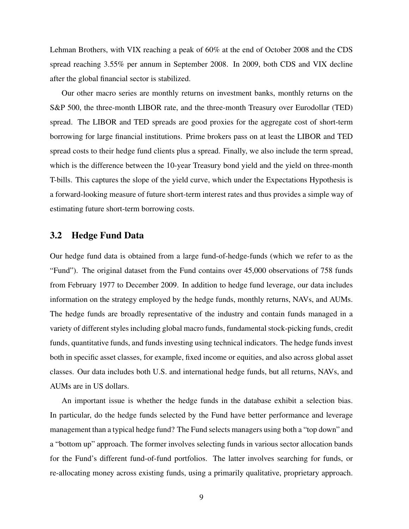Lehman Brothers, with VIX reaching a peak of 60% at the end of October 2008 and the CDS spread reaching 3.55% per annum in September 2008. In 2009, both CDS and VIX decline after the global financial sector is stabilized.

Our other macro series are monthly returns on investment banks, monthly returns on the S&P 500, the three-month LIBOR rate, and the three-month Treasury over Eurodollar (TED) spread. The LIBOR and TED spreads are good proxies for the aggregate cost of short-term borrowing for large financial institutions. Prime brokers pass on at least the LIBOR and TED spread costs to their hedge fund clients plus a spread. Finally, we also include the term spread, which is the difference between the 10-year Treasury bond yield and the yield on three-month T-bills. This captures the slope of the yield curve, which under the Expectations Hypothesis is a forward-looking measure of future short-term interest rates and thus provides a simple way of estimating future short-term borrowing costs.

## 3.2 Hedge Fund Data

Our hedge fund data is obtained from a large fund-of-hedge-funds (which we refer to as the "Fund"). The original dataset from the Fund contains over 45,000 observations of 758 funds from February 1977 to December 2009. In addition to hedge fund leverage, our data includes information on the strategy employed by the hedge funds, monthly returns, NAVs, and AUMs. The hedge funds are broadly representative of the industry and contain funds managed in a variety of different styles including global macro funds, fundamental stock-picking funds, credit funds, quantitative funds, and funds investing using technical indicators. The hedge funds invest both in specific asset classes, for example, fixed income or equities, and also across global asset classes. Our data includes both U.S. and international hedge funds, but all returns, NAVs, and AUMs are in US dollars.

An important issue is whether the hedge funds in the database exhibit a selection bias. In particular, do the hedge funds selected by the Fund have better performance and leverage management than a typical hedge fund? The Fund selects managers using both a "top down" and a "bottom up" approach. The former involves selecting funds in various sector allocation bands for the Fund's different fund-of-fund portfolios. The latter involves searching for funds, or re-allocating money across existing funds, using a primarily qualitative, proprietary approach.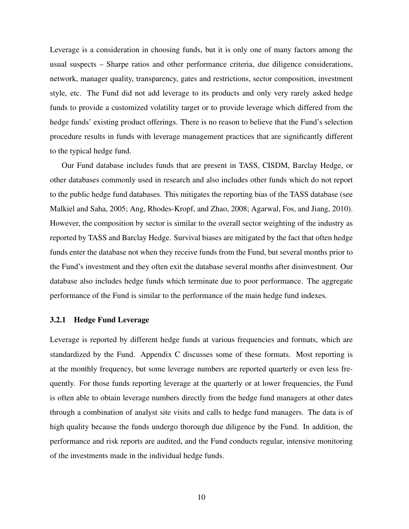Leverage is a consideration in choosing funds, but it is only one of many factors among the usual suspects – Sharpe ratios and other performance criteria, due diligence considerations, network, manager quality, transparency, gates and restrictions, sector composition, investment style, etc. The Fund did not add leverage to its products and only very rarely asked hedge funds to provide a customized volatility target or to provide leverage which differed from the hedge funds' existing product offerings. There is no reason to believe that the Fund's selection procedure results in funds with leverage management practices that are significantly different to the typical hedge fund.

Our Fund database includes funds that are present in TASS, CISDM, Barclay Hedge, or other databases commonly used in research and also includes other funds which do not report to the public hedge fund databases. This mitigates the reporting bias of the TASS database (see Malkiel and Saha, 2005; Ang, Rhodes-Kropf, and Zhao, 2008; Agarwal, Fos, and Jiang, 2010). However, the composition by sector is similar to the overall sector weighting of the industry as reported by TASS and Barclay Hedge. Survival biases are mitigated by the fact that often hedge funds enter the database not when they receive funds from the Fund, but several months prior to the Fund's investment and they often exit the database several months after disinvestment. Our database also includes hedge funds which terminate due to poor performance. The aggregate performance of the Fund is similar to the performance of the main hedge fund indexes.

### 3.2.1 Hedge Fund Leverage

Leverage is reported by different hedge funds at various frequencies and formats, which are standardized by the Fund. Appendix C discusses some of these formats. Most reporting is at the monthly frequency, but some leverage numbers are reported quarterly or even less frequently. For those funds reporting leverage at the quarterly or at lower frequencies, the Fund is often able to obtain leverage numbers directly from the hedge fund managers at other dates through a combination of analyst site visits and calls to hedge fund managers. The data is of high quality because the funds undergo thorough due diligence by the Fund. In addition, the performance and risk reports are audited, and the Fund conducts regular, intensive monitoring of the investments made in the individual hedge funds.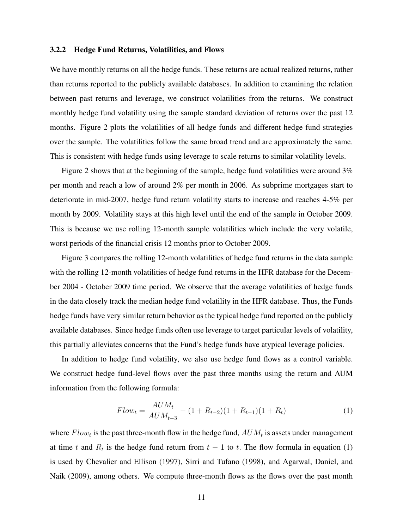#### 3.2.2 Hedge Fund Returns, Volatilities, and Flows

We have monthly returns on all the hedge funds. These returns are actual realized returns, rather than returns reported to the publicly available databases. In addition to examining the relation between past returns and leverage, we construct volatilities from the returns. We construct monthly hedge fund volatility using the sample standard deviation of returns over the past 12 months. Figure 2 plots the volatilities of all hedge funds and different hedge fund strategies over the sample. The volatilities follow the same broad trend and are approximately the same. This is consistent with hedge funds using leverage to scale returns to similar volatility levels.

Figure 2 shows that at the beginning of the sample, hedge fund volatilities were around 3% per month and reach a low of around 2% per month in 2006. As subprime mortgages start to deteriorate in mid-2007, hedge fund return volatility starts to increase and reaches 4-5% per month by 2009. Volatility stays at this high level until the end of the sample in October 2009. This is because we use rolling 12-month sample volatilities which include the very volatile, worst periods of the financial crisis 12 months prior to October 2009.

Figure 3 compares the rolling 12-month volatilities of hedge fund returns in the data sample with the rolling 12-month volatilities of hedge fund returns in the HFR database for the December 2004 - October 2009 time period. We observe that the average volatilities of hedge funds in the data closely track the median hedge fund volatility in the HFR database. Thus, the Funds hedge funds have very similar return behavior as the typical hedge fund reported on the publicly available databases. Since hedge funds often use leverage to target particular levels of volatility, this partially alleviates concerns that the Fund's hedge funds have atypical leverage policies.

In addition to hedge fund volatility, we also use hedge fund flows as a control variable. We construct hedge fund-level flows over the past three months using the return and AUM information from the following formula:

$$
Flow_t = \frac{AUM_t}{AUM_{t-3}} - (1 + R_{t-2})(1 + R_{t-1})(1 + R_t)
$$
\n(1)

where  $Flow_t$  is the past three-month flow in the hedge fund,  $AUM_t$  is assets under management at time *t* and  $R_t$  is the hedge fund return from  $t - 1$  to  $t$ . The flow formula in equation (1) is used by Chevalier and Ellison (1997), Sirri and Tufano (1998), and Agarwal, Daniel, and Naik (2009), among others. We compute three-month flows as the flows over the past month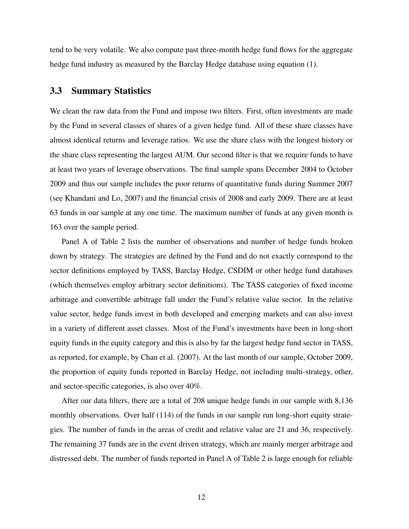tend to be very volatile. We also compute past three-month hedge fund flows for the aggregate hedge fund industry as measured by the Barclay Hedge database using equation (1).

### 3.3 Summary Statistics

We clean the raw data from the Fund and impose two filters. First, often investments are made by the Fund in several classes of shares of a given hedge fund. All of these share classes have almost identical returns and leverage ratios. We use the share class with the longest history or the share class representing the largest AUM. Our second filter is that we require funds to have at least two years of leverage observations. The final sample spans December 2004 to October 2009 and thus our sample includes the poor returns of quantitative funds during Summer 2007 (see Khandani and Lo, 2007) and the financial crisis of 2008 and early 2009. There are at least 63 funds in our sample at any one time. The maximum number of funds at any given month is 163 over the sample period.

Panel A of Table 2 lists the number of observations and number of hedge funds broken down by strategy. The strategies are defined by the Fund and do not exactly correspond to the sector definitions employed by TASS, Barclay Hedge, CSDIM or other hedge fund databases (which themselves employ arbitrary sector definitions). The TASS categories of fixed income arbitrage and convertible arbitrage fall under the Fund's relative value sector. In the relative value sector, hedge funds invest in both developed and emerging markets and can also invest in a variety of different asset classes. Most of the Fund's investments have been in long-short equity funds in the equity category and this is also by far the largest hedge fund sector in TASS, as reported, for example, by Chan et al. (2007). At the last month of our sample, October 2009, the proportion of equity funds reported in Barclay Hedge, not including multi-strategy, other, and sector-specific categories, is also over 40%.

After our data filters, there are a total of 208 unique hedge funds in our sample with 8,136 monthly observations. Over half (114) of the funds in our sample run long-short equity strategies. The number of funds in the areas of credit and relative value are 21 and 36, respectively. The remaining 37 funds are in the event driven strategy, which are mainly merger arbitrage and distressed debt. The number of funds reported in Panel A of Table 2 is large enough for reliable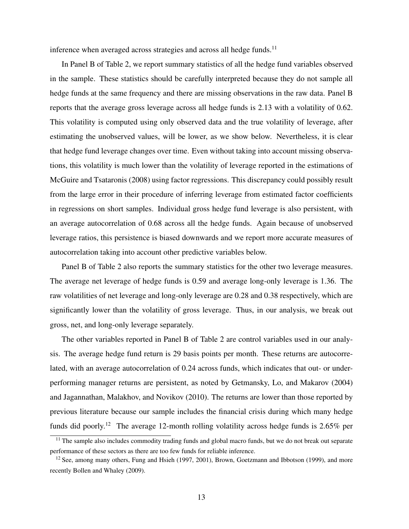inference when averaged across strategies and across all hedge funds. $^{11}$ 

In Panel B of Table 2, we report summary statistics of all the hedge fund variables observed in the sample. These statistics should be carefully interpreted because they do not sample all hedge funds at the same frequency and there are missing observations in the raw data. Panel B reports that the average gross leverage across all hedge funds is 2.13 with a volatility of 0.62. This volatility is computed using only observed data and the true volatility of leverage, after estimating the unobserved values, will be lower, as we show below. Nevertheless, it is clear that hedge fund leverage changes over time. Even without taking into account missing observations, this volatility is much lower than the volatility of leverage reported in the estimations of McGuire and Tsataronis (2008) using factor regressions. This discrepancy could possibly result from the large error in their procedure of inferring leverage from estimated factor coefficients in regressions on short samples. Individual gross hedge fund leverage is also persistent, with an average autocorrelation of 0.68 across all the hedge funds. Again because of unobserved leverage ratios, this persistence is biased downwards and we report more accurate measures of autocorrelation taking into account other predictive variables below.

Panel B of Table 2 also reports the summary statistics for the other two leverage measures. The average net leverage of hedge funds is 0.59 and average long-only leverage is 1.36. The raw volatilities of net leverage and long-only leverage are 0.28 and 0.38 respectively, which are significantly lower than the volatility of gross leverage. Thus, in our analysis, we break out gross, net, and long-only leverage separately.

The other variables reported in Panel B of Table 2 are control variables used in our analysis. The average hedge fund return is 29 basis points per month. These returns are autocorrelated, with an average autocorrelation of 0.24 across funds, which indicates that out- or underperforming manager returns are persistent, as noted by Getmansky, Lo, and Makarov (2004) and Jagannathan, Malakhov, and Novikov (2010). The returns are lower than those reported by previous literature because our sample includes the financial crisis during which many hedge funds did poorly.<sup>12</sup> The average 12-month rolling volatility across hedge funds is 2.65% per

<sup>&</sup>lt;sup>11</sup> The sample also includes commodity trading funds and global macro funds, but we do not break out separate performance of these sectors as there are too few funds for reliable inference.

<sup>&</sup>lt;sup>12</sup> See, among many others, Fung and Hsieh (1997, 2001), Brown, Goetzmann and Ibbotson (1999), and more recently Bollen and Whaley (2009).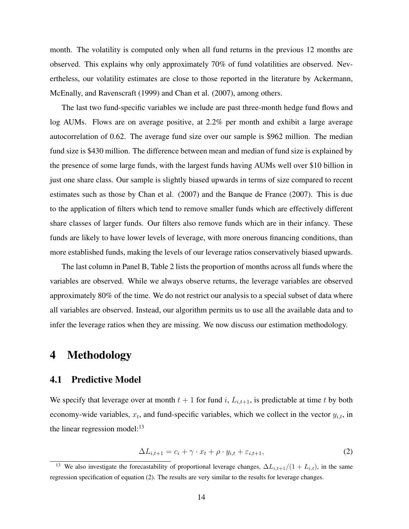month. The volatility is computed only when all fund returns in the previous 12 months are observed. This explains why only approximately 70% of fund volatilities are observed. Nevertheless, our volatility estimates are close to those reported in the literature by Ackermann, McEnally, and Ravenscraft (1999) and Chan et al. (2007), among others.

The last two fund-specific variables we include are past three-month hedge fund flows and log AUMs. Flows are on average positive, at 2.2% per month and exhibit a large average autocorrelation of 0.62. The average fund size over our sample is \$962 million. The median fund size is \$430 million. The difference between mean and median of fund size is explained by the presence of some large funds, with the largest funds having AUMs well over \$10 billion in just one share class. Our sample is slightly biased upwards in terms of size compared to recent estimates such as those by Chan et al. (2007) and the Banque de France (2007). This is due to the application of filters which tend to remove smaller funds which are effectively different share classes of larger funds. Our filters also remove funds which are in their infancy. These funds are likely to have lower levels of leverage, with more onerous financing conditions, than more established funds, making the levels of our leverage ratios conservatively biased upwards.

The last column in Panel B, Table 2 lists the proportion of months across all funds where the variables are observed. While we always observe returns, the leverage variables are observed approximately 80% of the time. We do not restrict our analysis to a special subset of data where all variables are observed. Instead, our algorithm permits us to use all the available data and to infer the leverage ratios when they are missing. We now discuss our estimation methodology.

# 4 Methodology

### 4.1 Predictive Model

We specify that leverage over at month  $t + 1$  for fund  $i$ ,  $L_{i,t+1}$ , is predictable at time  $t$  by both economy-wide variables,  $x_t$ , and fund-specific variables, which we collect in the vector  $y_{i,t}$ , in the linear regression model: $^{13}$ 

$$
\Delta L_{i,t+1} = c_i + \gamma \cdot x_t + \rho \cdot y_{i,t} + \varepsilon_{i,t+1},\tag{2}
$$

<sup>&</sup>lt;sup>13</sup> We also investigate the forecastability of proportional leverage changes,  $\Delta L_{i,t+1}/(1 + L_{i,t})$ , in the same regression specification of equation (2). The results are very similar to the results for leverage changes.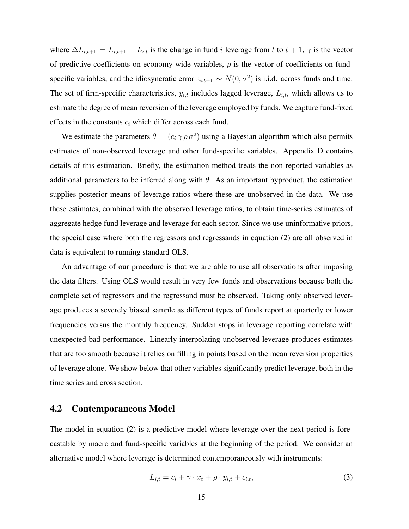where  $\Delta L_{i,t+1} = L_{i,t+1} - L_{i,t}$  is the change in fund *i* leverage from *t* to  $t + 1$ ,  $\gamma$  is the vector of predictive coefficients on economy-wide variables,  $\rho$  is the vector of coefficients on fundspecific variables, and the idiosyncratic error  $\varepsilon_{i,t+1} \sim N(0, \sigma^2)$  is i.i.d. across funds and time. The set of firm-specific characteristics,  $y_{i,t}$  includes lagged leverage,  $L_{i,t}$ , which allows us to estimate the degree of mean reversion of the leverage employed by funds. We capture fund-fixed effects in the constants *c<sup>i</sup>* which differ across each fund.

We estimate the parameters  $\theta = (c_i \gamma \rho \sigma^2)$  using a Bayesian algorithm which also permits estimates of non-observed leverage and other fund-specific variables. Appendix D contains details of this estimation. Briefly, the estimation method treats the non-reported variables as additional parameters to be inferred along with  $\theta$ . As an important byproduct, the estimation supplies posterior means of leverage ratios where these are unobserved in the data. We use these estimates, combined with the observed leverage ratios, to obtain time-series estimates of aggregate hedge fund leverage and leverage for each sector. Since we use uninformative priors, the special case where both the regressors and regressands in equation (2) are all observed in data is equivalent to running standard OLS.

An advantage of our procedure is that we are able to use all observations after imposing the data filters. Using OLS would result in very few funds and observations because both the complete set of regressors and the regressand must be observed. Taking only observed leverage produces a severely biased sample as different types of funds report at quarterly or lower frequencies versus the monthly frequency. Sudden stops in leverage reporting correlate with unexpected bad performance. Linearly interpolating unobserved leverage produces estimates that are too smooth because it relies on filling in points based on the mean reversion properties of leverage alone. We show below that other variables significantly predict leverage, both in the time series and cross section.

### 4.2 Contemporaneous Model

The model in equation (2) is a predictive model where leverage over the next period is forecastable by macro and fund-specific variables at the beginning of the period. We consider an alternative model where leverage is determined contemporaneously with instruments:

$$
L_{i,t} = c_i + \gamma \cdot x_t + \rho \cdot y_{i,t} + \epsilon_{i,t},\tag{3}
$$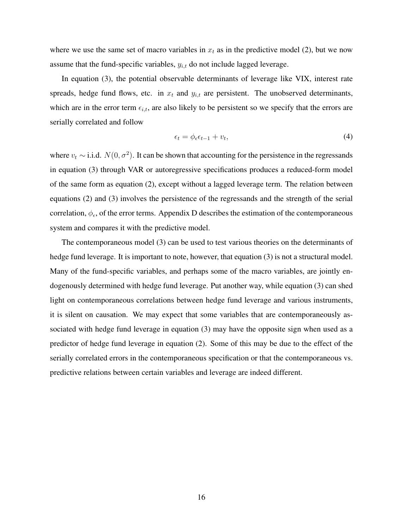where we use the same set of macro variables in  $x_t$  as in the predictive model (2), but we now assume that the fund-specific variables,  $y_{i,t}$  do not include lagged leverage.

In equation (3), the potential observable determinants of leverage like VIX, interest rate spreads, hedge fund flows, etc. in  $x_t$  and  $y_{i,t}$  are persistent. The unobserved determinants, which are in the error term  $\epsilon_{i,t}$ , are also likely to be persistent so we specify that the errors are serially correlated and follow

$$
\epsilon_t = \phi_\epsilon \epsilon_{t-1} + v_t,\tag{4}
$$

where  $v_t \sim$  i.i.d.  $N(0, \sigma^2)$ . It can be shown that accounting for the persistence in the regressands in equation (3) through VAR or autoregressive specifications produces a reduced-form model of the same form as equation (2), except without a lagged leverage term. The relation between equations (2) and (3) involves the persistence of the regressands and the strength of the serial correlation,  $\phi_{\epsilon}$ , of the error terms. Appendix D describes the estimation of the contemporaneous system and compares it with the predictive model.

The contemporaneous model (3) can be used to test various theories on the determinants of hedge fund leverage. It is important to note, however, that equation (3) is not a structural model. Many of the fund-specific variables, and perhaps some of the macro variables, are jointly endogenously determined with hedge fund leverage. Put another way, while equation (3) can shed light on contemporaneous correlations between hedge fund leverage and various instruments, it is silent on causation. We may expect that some variables that are contemporaneously associated with hedge fund leverage in equation (3) may have the opposite sign when used as a predictor of hedge fund leverage in equation (2). Some of this may be due to the effect of the serially correlated errors in the contemporaneous specification or that the contemporaneous vs. predictive relations between certain variables and leverage are indeed different.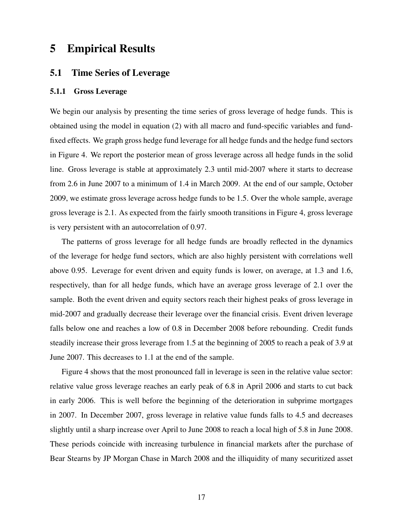# 5 Empirical Results

## 5.1 Time Series of Leverage

### 5.1.1 Gross Leverage

We begin our analysis by presenting the time series of gross leverage of hedge funds. This is obtained using the model in equation (2) with all macro and fund-specific variables and fundfixed effects. We graph gross hedge fund leverage for all hedge funds and the hedge fund sectors in Figure 4. We report the posterior mean of gross leverage across all hedge funds in the solid line. Gross leverage is stable at approximately 2.3 until mid-2007 where it starts to decrease from 2.6 in June 2007 to a minimum of 1.4 in March 2009. At the end of our sample, October 2009, we estimate gross leverage across hedge funds to be 1.5. Over the whole sample, average gross leverage is 2.1. As expected from the fairly smooth transitions in Figure 4, gross leverage is very persistent with an autocorrelation of 0.97.

The patterns of gross leverage for all hedge funds are broadly reflected in the dynamics of the leverage for hedge fund sectors, which are also highly persistent with correlations well above 0.95. Leverage for event driven and equity funds is lower, on average, at 1.3 and 1.6, respectively, than for all hedge funds, which have an average gross leverage of 2.1 over the sample. Both the event driven and equity sectors reach their highest peaks of gross leverage in mid-2007 and gradually decrease their leverage over the financial crisis. Event driven leverage falls below one and reaches a low of 0.8 in December 2008 before rebounding. Credit funds steadily increase their gross leverage from 1.5 at the beginning of 2005 to reach a peak of 3.9 at June 2007. This decreases to 1.1 at the end of the sample.

Figure 4 shows that the most pronounced fall in leverage is seen in the relative value sector: relative value gross leverage reaches an early peak of 6.8 in April 2006 and starts to cut back in early 2006. This is well before the beginning of the deterioration in subprime mortgages in 2007. In December 2007, gross leverage in relative value funds falls to 4.5 and decreases slightly until a sharp increase over April to June 2008 to reach a local high of 5.8 in June 2008. These periods coincide with increasing turbulence in financial markets after the purchase of Bear Stearns by JP Morgan Chase in March 2008 and the illiquidity of many securitized asset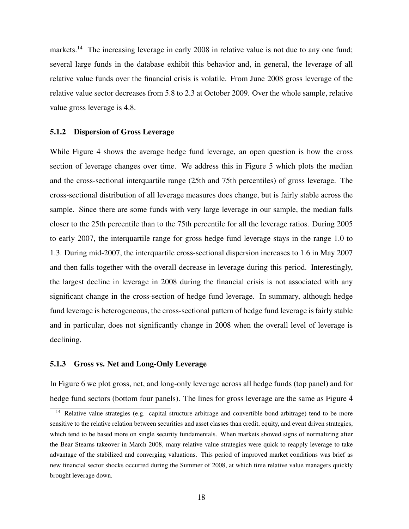markets.<sup>14</sup> The increasing leverage in early 2008 in relative value is not due to any one fund; several large funds in the database exhibit this behavior and, in general, the leverage of all relative value funds over the financial crisis is volatile. From June 2008 gross leverage of the relative value sector decreases from 5.8 to 2.3 at October 2009. Over the whole sample, relative value gross leverage is 4.8.

### 5.1.2 Dispersion of Gross Leverage

While Figure 4 shows the average hedge fund leverage, an open question is how the cross section of leverage changes over time. We address this in Figure 5 which plots the median and the cross-sectional interquartile range (25th and 75th percentiles) of gross leverage. The cross-sectional distribution of all leverage measures does change, but is fairly stable across the sample. Since there are some funds with very large leverage in our sample, the median falls closer to the 25th percentile than to the 75th percentile for all the leverage ratios. During 2005 to early 2007, the interquartile range for gross hedge fund leverage stays in the range 1.0 to 1.3. During mid-2007, the interquartile cross-sectional dispersion increases to 1.6 in May 2007 and then falls together with the overall decrease in leverage during this period. Interestingly, the largest decline in leverage in 2008 during the financial crisis is not associated with any significant change in the cross-section of hedge fund leverage. In summary, although hedge fund leverage is heterogeneous, the cross-sectional pattern of hedge fund leverage is fairly stable and in particular, does not significantly change in 2008 when the overall level of leverage is declining.

### 5.1.3 Gross vs. Net and Long-Only Leverage

In Figure 6 we plot gross, net, and long-only leverage across all hedge funds (top panel) and for hedge fund sectors (bottom four panels). The lines for gross leverage are the same as Figure 4

<sup>&</sup>lt;sup>14</sup> Relative value strategies (e.g. capital structure arbitrage and convertible bond arbitrage) tend to be more sensitive to the relative relation between securities and asset classes than credit, equity, and event driven strategies, which tend to be based more on single security fundamentals. When markets showed signs of normalizing after the Bear Stearns takeover in March 2008, many relative value strategies were quick to reapply leverage to take advantage of the stabilized and converging valuations. This period of improved market conditions was brief as new financial sector shocks occurred during the Summer of 2008, at which time relative value managers quickly brought leverage down.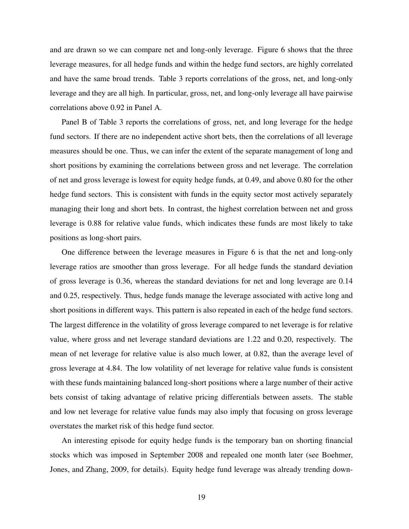and are drawn so we can compare net and long-only leverage. Figure 6 shows that the three leverage measures, for all hedge funds and within the hedge fund sectors, are highly correlated and have the same broad trends. Table 3 reports correlations of the gross, net, and long-only leverage and they are all high. In particular, gross, net, and long-only leverage all have pairwise correlations above 0.92 in Panel A.

Panel B of Table 3 reports the correlations of gross, net, and long leverage for the hedge fund sectors. If there are no independent active short bets, then the correlations of all leverage measures should be one. Thus, we can infer the extent of the separate management of long and short positions by examining the correlations between gross and net leverage. The correlation of net and gross leverage is lowest for equity hedge funds, at 0.49, and above 0.80 for the other hedge fund sectors. This is consistent with funds in the equity sector most actively separately managing their long and short bets. In contrast, the highest correlation between net and gross leverage is 0.88 for relative value funds, which indicates these funds are most likely to take positions as long-short pairs.

One difference between the leverage measures in Figure 6 is that the net and long-only leverage ratios are smoother than gross leverage. For all hedge funds the standard deviation of gross leverage is 0.36, whereas the standard deviations for net and long leverage are 0.14 and 0.25, respectively. Thus, hedge funds manage the leverage associated with active long and short positions in different ways. This pattern is also repeated in each of the hedge fund sectors. The largest difference in the volatility of gross leverage compared to net leverage is for relative value, where gross and net leverage standard deviations are 1.22 and 0.20, respectively. The mean of net leverage for relative value is also much lower, at 0.82, than the average level of gross leverage at 4.84. The low volatility of net leverage for relative value funds is consistent with these funds maintaining balanced long-short positions where a large number of their active bets consist of taking advantage of relative pricing differentials between assets. The stable and low net leverage for relative value funds may also imply that focusing on gross leverage overstates the market risk of this hedge fund sector.

An interesting episode for equity hedge funds is the temporary ban on shorting financial stocks which was imposed in September 2008 and repealed one month later (see Boehmer, Jones, and Zhang, 2009, for details). Equity hedge fund leverage was already trending down-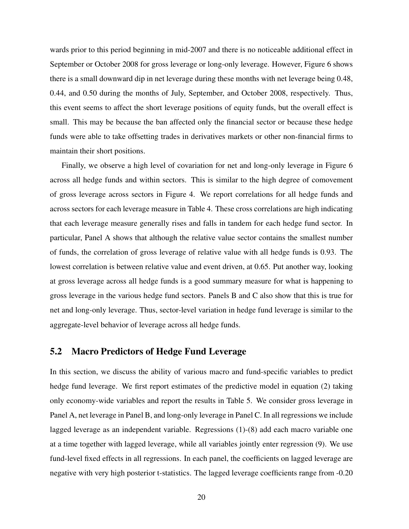wards prior to this period beginning in mid-2007 and there is no noticeable additional effect in September or October 2008 for gross leverage or long-only leverage. However, Figure 6 shows there is a small downward dip in net leverage during these months with net leverage being 0.48, 0.44, and 0.50 during the months of July, September, and October 2008, respectively. Thus, this event seems to affect the short leverage positions of equity funds, but the overall effect is small. This may be because the ban affected only the financial sector or because these hedge funds were able to take offsetting trades in derivatives markets or other non-financial firms to maintain their short positions.

Finally, we observe a high level of covariation for net and long-only leverage in Figure 6 across all hedge funds and within sectors. This is similar to the high degree of comovement of gross leverage across sectors in Figure 4. We report correlations for all hedge funds and across sectors for each leverage measure in Table 4. These cross correlations are high indicating that each leverage measure generally rises and falls in tandem for each hedge fund sector. In particular, Panel A shows that although the relative value sector contains the smallest number of funds, the correlation of gross leverage of relative value with all hedge funds is 0.93. The lowest correlation is between relative value and event driven, at 0.65. Put another way, looking at gross leverage across all hedge funds is a good summary measure for what is happening to gross leverage in the various hedge fund sectors. Panels B and C also show that this is true for net and long-only leverage. Thus, sector-level variation in hedge fund leverage is similar to the aggregate-level behavior of leverage across all hedge funds.

### 5.2 Macro Predictors of Hedge Fund Leverage

In this section, we discuss the ability of various macro and fund-specific variables to predict hedge fund leverage. We first report estimates of the predictive model in equation (2) taking only economy-wide variables and report the results in Table 5. We consider gross leverage in Panel A, net leverage in Panel B, and long-only leverage in Panel C. In all regressions we include lagged leverage as an independent variable. Regressions (1)-(8) add each macro variable one at a time together with lagged leverage, while all variables jointly enter regression (9). We use fund-level fixed effects in all regressions. In each panel, the coefficients on lagged leverage are negative with very high posterior t-statistics. The lagged leverage coefficients range from -0.20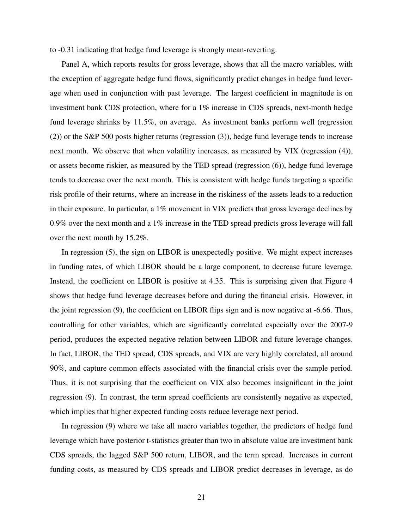to -0.31 indicating that hedge fund leverage is strongly mean-reverting.

Panel A, which reports results for gross leverage, shows that all the macro variables, with the exception of aggregate hedge fund flows, significantly predict changes in hedge fund leverage when used in conjunction with past leverage. The largest coefficient in magnitude is on investment bank CDS protection, where for a 1% increase in CDS spreads, next-month hedge fund leverage shrinks by 11.5%, on average. As investment banks perform well (regression (2)) or the S&P 500 posts higher returns (regression (3)), hedge fund leverage tends to increase next month. We observe that when volatility increases, as measured by VIX (regression (4)), or assets become riskier, as measured by the TED spread (regression (6)), hedge fund leverage tends to decrease over the next month. This is consistent with hedge funds targeting a specific risk profile of their returns, where an increase in the riskiness of the assets leads to a reduction in their exposure. In particular, a 1% movement in VIX predicts that gross leverage declines by 0.9% over the next month and a 1% increase in the TED spread predicts gross leverage will fall over the next month by 15.2%.

In regression (5), the sign on LIBOR is unexpectedly positive. We might expect increases in funding rates, of which LIBOR should be a large component, to decrease future leverage. Instead, the coefficient on LIBOR is positive at 4.35. This is surprising given that Figure 4 shows that hedge fund leverage decreases before and during the financial crisis. However, in the joint regression (9), the coefficient on LIBOR flips sign and is now negative at -6.66. Thus, controlling for other variables, which are significantly correlated especially over the 2007-9 period, produces the expected negative relation between LIBOR and future leverage changes. In fact, LIBOR, the TED spread, CDS spreads, and VIX are very highly correlated, all around 90%, and capture common effects associated with the financial crisis over the sample period. Thus, it is not surprising that the coefficient on VIX also becomes insignificant in the joint regression (9). In contrast, the term spread coefficients are consistently negative as expected, which implies that higher expected funding costs reduce leverage next period.

In regression (9) where we take all macro variables together, the predictors of hedge fund leverage which have posterior t-statistics greater than two in absolute value are investment bank CDS spreads, the lagged S&P 500 return, LIBOR, and the term spread. Increases in current funding costs, as measured by CDS spreads and LIBOR predict decreases in leverage, as do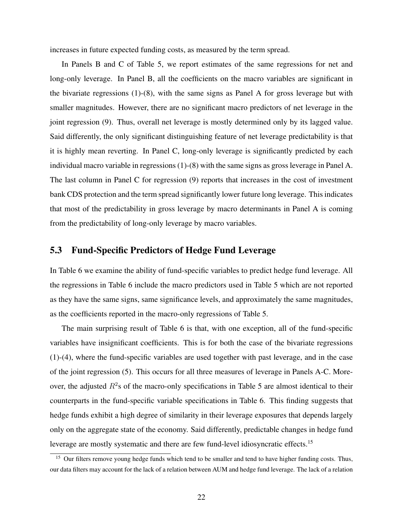increases in future expected funding costs, as measured by the term spread.

In Panels B and C of Table 5, we report estimates of the same regressions for net and long-only leverage. In Panel B, all the coefficients on the macro variables are significant in the bivariate regressions (1)-(8), with the same signs as Panel A for gross leverage but with smaller magnitudes. However, there are no significant macro predictors of net leverage in the joint regression (9). Thus, overall net leverage is mostly determined only by its lagged value. Said differently, the only significant distinguishing feature of net leverage predictability is that it is highly mean reverting. In Panel C, long-only leverage is significantly predicted by each individual macro variable in regressions (1)-(8) with the same signs as gross leverage in Panel A. The last column in Panel C for regression (9) reports that increases in the cost of investment bank CDS protection and the term spread significantly lower future long leverage. This indicates that most of the predictability in gross leverage by macro determinants in Panel A is coming from the predictability of long-only leverage by macro variables.

## 5.3 Fund-Specific Predictors of Hedge Fund Leverage

In Table 6 we examine the ability of fund-specific variables to predict hedge fund leverage. All the regressions in Table 6 include the macro predictors used in Table 5 which are not reported as they have the same signs, same significance levels, and approximately the same magnitudes, as the coefficients reported in the macro-only regressions of Table 5.

The main surprising result of Table 6 is that, with one exception, all of the fund-specific variables have insignificant coefficients. This is for both the case of the bivariate regressions (1)-(4), where the fund-specific variables are used together with past leverage, and in the case of the joint regression (5). This occurs for all three measures of leverage in Panels A-C. Moreover, the adjusted  $R^2$ s of the macro-only specifications in Table 5 are almost identical to their counterparts in the fund-specific variable specifications in Table 6. This finding suggests that hedge funds exhibit a high degree of similarity in their leverage exposures that depends largely only on the aggregate state of the economy. Said differently, predictable changes in hedge fund leverage are mostly systematic and there are few fund-level idiosyncratic effects.<sup>15</sup>

<sup>&</sup>lt;sup>15</sup> Our filters remove young hedge funds which tend to be smaller and tend to have higher funding costs. Thus, our data filters may account for the lack of a relation between AUM and hedge fund leverage. The lack of a relation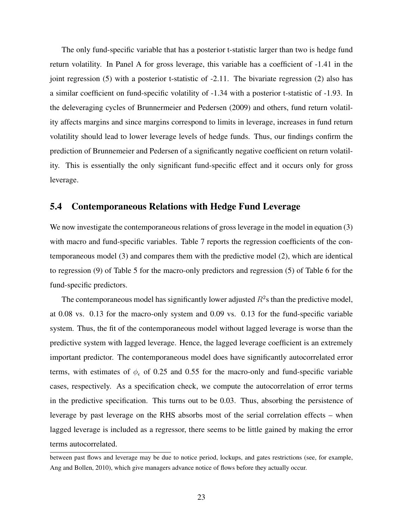The only fund-specific variable that has a posterior t-statistic larger than two is hedge fund return volatility. In Panel A for gross leverage, this variable has a coefficient of -1.41 in the joint regression (5) with a posterior t-statistic of -2.11. The bivariate regression (2) also has a similar coefficient on fund-specific volatility of -1.34 with a posterior t-statistic of -1.93. In the deleveraging cycles of Brunnermeier and Pedersen (2009) and others, fund return volatility affects margins and since margins correspond to limits in leverage, increases in fund return volatility should lead to lower leverage levels of hedge funds. Thus, our findings confirm the prediction of Brunnemeier and Pedersen of a significantly negative coefficient on return volatility. This is essentially the only significant fund-specific effect and it occurs only for gross leverage.

### 5.4 Contemporaneous Relations with Hedge Fund Leverage

We now investigate the contemporaneous relations of gross leverage in the model in equation (3) with macro and fund-specific variables. Table 7 reports the regression coefficients of the contemporaneous model (3) and compares them with the predictive model (2), which are identical to regression (9) of Table 5 for the macro-only predictors and regression (5) of Table 6 for the fund-specific predictors.

The contemporaneous model has significantly lower adjusted  $R^2$ s than the predictive model, at 0.08 vs. 0.13 for the macro-only system and 0.09 vs. 0.13 for the fund-specific variable system. Thus, the fit of the contemporaneous model without lagged leverage is worse than the predictive system with lagged leverage. Hence, the lagged leverage coefficient is an extremely important predictor. The contemporaneous model does have significantly autocorrelated error terms, with estimates of  $\phi_{\epsilon}$  of 0.25 and 0.55 for the macro-only and fund-specific variable cases, respectively. As a specification check, we compute the autocorrelation of error terms in the predictive specification. This turns out to be 0.03. Thus, absorbing the persistence of leverage by past leverage on the RHS absorbs most of the serial correlation effects – when lagged leverage is included as a regressor, there seems to be little gained by making the error terms autocorrelated.

between past flows and leverage may be due to notice period, lockups, and gates restrictions (see, for example, Ang and Bollen, 2010), which give managers advance notice of flows before they actually occur.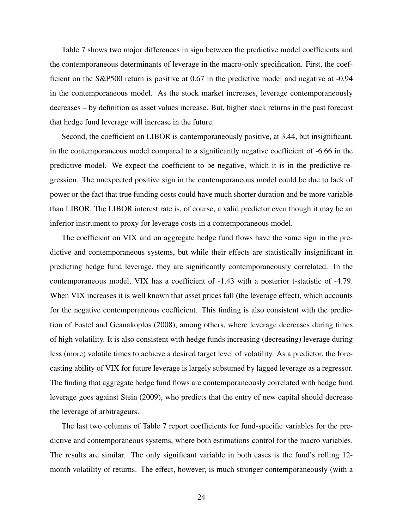Table 7 shows two major differences in sign between the predictive model coefficients and the contemporaneous determinants of leverage in the macro-only specification. First, the coefficient on the S&P500 return is positive at 0.67 in the predictive model and negative at -0.94 in the contemporaneous model. As the stock market increases, leverage contemporaneously decreases – by definition as asset values increase. But, higher stock returns in the past forecast that hedge fund leverage will increase in the future.

Second, the coefficient on LIBOR is contemporaneously positive, at 3.44, but insignificant, in the contemporaneous model compared to a significantly negative coefficient of -6.66 in the predictive model. We expect the coefficient to be negative, which it is in the predictive regression. The unexpected positive sign in the contemporaneous model could be due to lack of power or the fact that true funding costs could have much shorter duration and be more variable than LIBOR. The LIBOR interest rate is, of course, a valid predictor even though it may be an inferior instrument to proxy for leverage costs in a contemporaneous model.

The coefficient on VIX and on aggregate hedge fund flows have the same sign in the predictive and contemporaneous systems, but while their effects are statistically insignificant in predicting hedge fund leverage, they are significantly contemporaneously correlated. In the contemporaneous model, VIX has a coefficient of -1.43 with a posterior t-statistic of -4.79. When VIX increases it is well known that asset prices fall (the leverage effect), which accounts for the negative contemporaneous coefficient. This finding is also consistent with the prediction of Fostel and Geanakoplos (2008), among others, where leverage decreases during times of high volatility. It is also consistent with hedge funds increasing (decreasing) leverage during less (more) volatile times to achieve a desired target level of volatility. As a predictor, the forecasting ability of VIX for future leverage is largely subsumed by lagged leverage as a regressor. The finding that aggregate hedge fund flows are contemporaneously correlated with hedge fund leverage goes against Stein (2009), who predicts that the entry of new capital should decrease the leverage of arbitrageurs.

The last two columns of Table 7 report coefficients for fund-specific variables for the predictive and contemporaneous systems, where both estimations control for the macro variables. The results are similar. The only significant variable in both cases is the fund's rolling 12 month volatility of returns. The effect, however, is much stronger contemporaneously (with a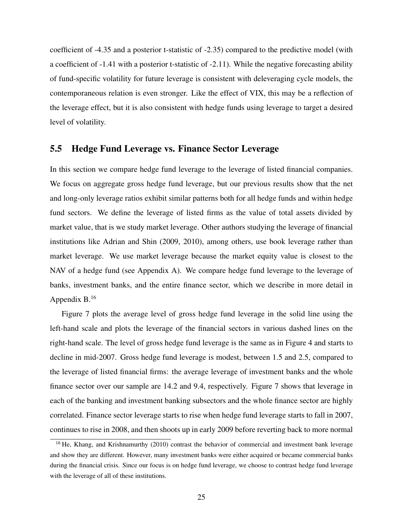coefficient of -4.35 and a posterior t-statistic of -2.35) compared to the predictive model (with a coefficient of -1.41 with a posterior t-statistic of -2.11). While the negative forecasting ability of fund-specific volatility for future leverage is consistent with deleveraging cycle models, the contemporaneous relation is even stronger. Like the effect of VIX, this may be a reflection of the leverage effect, but it is also consistent with hedge funds using leverage to target a desired level of volatility.

## 5.5 Hedge Fund Leverage vs. Finance Sector Leverage

In this section we compare hedge fund leverage to the leverage of listed financial companies. We focus on aggregate gross hedge fund leverage, but our previous results show that the net and long-only leverage ratios exhibit similar patterns both for all hedge funds and within hedge fund sectors. We define the leverage of listed firms as the value of total assets divided by market value, that is we study market leverage. Other authors studying the leverage of financial institutions like Adrian and Shin (2009, 2010), among others, use book leverage rather than market leverage. We use market leverage because the market equity value is closest to the NAV of a hedge fund (see Appendix A). We compare hedge fund leverage to the leverage of banks, investment banks, and the entire finance sector, which we describe in more detail in Appendix B. 16

Figure 7 plots the average level of gross hedge fund leverage in the solid line using the left-hand scale and plots the leverage of the financial sectors in various dashed lines on the right-hand scale. The level of gross hedge fund leverage is the same as in Figure 4 and starts to decline in mid-2007. Gross hedge fund leverage is modest, between 1.5 and 2.5, compared to the leverage of listed financial firms: the average leverage of investment banks and the whole finance sector over our sample are 14.2 and 9.4, respectively. Figure 7 shows that leverage in each of the banking and investment banking subsectors and the whole finance sector are highly correlated. Finance sector leverage starts to rise when hedge fund leverage starts to fall in 2007, continues to rise in 2008, and then shoots up in early 2009 before reverting back to more normal

<sup>&</sup>lt;sup>16</sup> He, Khang, and Krishnamurthy (2010) contrast the behavior of commercial and investment bank leverage and show they are different. However, many investment banks were either acquired or became commercial banks during the financial crisis. Since our focus is on hedge fund leverage, we choose to contrast hedge fund leverage with the leverage of all of these institutions.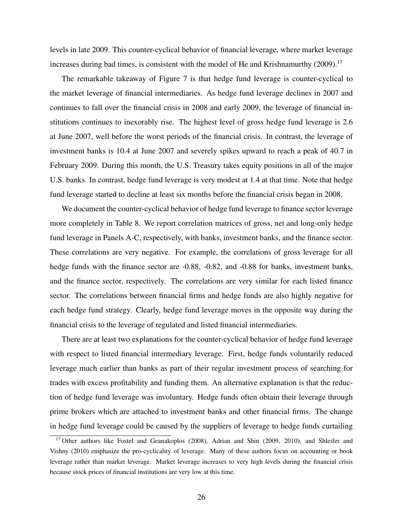levels in late 2009. This counter-cyclical behavior of financial leverage, where market leverage increases during bad times, is consistent with the model of He and Krishnamurthy  $(2009)$ .<sup>17</sup>

The remarkable takeaway of Figure 7 is that hedge fund leverage is counter-cyclical to the market leverage of financial intermediaries. As hedge fund leverage declines in 2007 and continues to fall over the financial crisis in 2008 and early 2009, the leverage of financial institutions continues to inexorably rise. The highest level of gross hedge fund leverage is 2.6 at June 2007, well before the worst periods of the financial crisis. In contrast, the leverage of investment banks is 10.4 at June 2007 and severely spikes upward to reach a peak of 40.7 in February 2009. During this month, the U.S. Treasury takes equity positions in all of the major U.S. banks. In contrast, hedge fund leverage is very modest at 1.4 at that time. Note that hedge fund leverage started to decline at least six months before the financial crisis began in 2008.

We document the counter-cyclical behavior of hedge fund leverage to finance sector leverage more completely in Table 8. We report correlation matrices of gross, net and long-only hedge fund leverage in Panels A-C, respectively, with banks, investment banks, and the finance sector. These correlations are very negative. For example, the correlations of gross leverage for all hedge funds with the finance sector are -0.88, -0.82, and -0.88 for banks, investment banks, and the finance sector, respectively. The correlations are very similar for each listed finance sector. The correlations between financial firms and hedge funds are also highly negative for each hedge fund strategy. Clearly, hedge fund leverage moves in the opposite way during the financial crisis to the leverage of regulated and listed financial intermediaries.

There are at least two explanations for the counter-cyclical behavior of hedge fund leverage with respect to listed financial intermediary leverage. First, hedge funds voluntarily reduced leverage much earlier than banks as part of their regular investment process of searching for trades with excess profitability and funding them. An alternative explanation is that the reduction of hedge fund leverage was involuntary. Hedge funds often obtain their leverage through prime brokers which are attached to investment banks and other financial firms. The change in hedge fund leverage could be caused by the suppliers of leverage to hedge funds curtailing

<sup>&</sup>lt;sup>17</sup> Other authors like Fostel and Geanakoplos (2008), Adrian and Shin (2009, 2010), and Shleifer and Vishny (2010) emphasize the pro-cyclicality of leverage. Many of these authors focus on accounting or book leverage rather than market leverage. Market leverage increases to very high levels during the financial crisis because stock prices of financial institutions are very low at this time.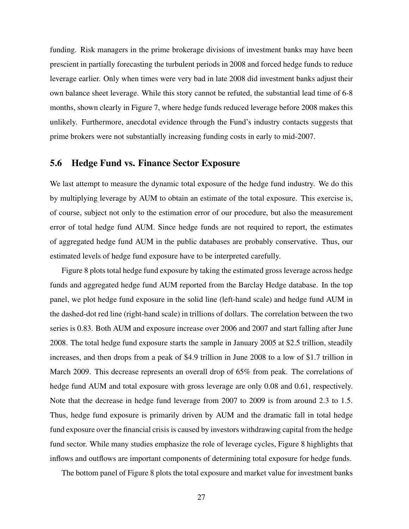funding. Risk managers in the prime brokerage divisions of investment banks may have been prescient in partially forecasting the turbulent periods in 2008 and forced hedge funds to reduce leverage earlier. Only when times were very bad in late 2008 did investment banks adjust their own balance sheet leverage. While this story cannot be refuted, the substantial lead time of 6-8 months, shown clearly in Figure 7, where hedge funds reduced leverage before 2008 makes this unlikely. Furthermore, anecdotal evidence through the Fund's industry contacts suggests that prime brokers were not substantially increasing funding costs in early to mid-2007.

## 5.6 Hedge Fund vs. Finance Sector Exposure

We last attempt to measure the dynamic total exposure of the hedge fund industry. We do this by multiplying leverage by AUM to obtain an estimate of the total exposure. This exercise is, of course, subject not only to the estimation error of our procedure, but also the measurement error of total hedge fund AUM. Since hedge funds are not required to report, the estimates of aggregated hedge fund AUM in the public databases are probably conservative. Thus, our estimated levels of hedge fund exposure have to be interpreted carefully.

Figure 8 plots total hedge fund exposure by taking the estimated gross leverage across hedge funds and aggregated hedge fund AUM reported from the Barclay Hedge database. In the top panel, we plot hedge fund exposure in the solid line (left-hand scale) and hedge fund AUM in the dashed-dot red line (right-hand scale) in trillions of dollars. The correlation between the two series is 0.83. Both AUM and exposure increase over 2006 and 2007 and start falling after June 2008. The total hedge fund exposure starts the sample in January 2005 at \$2.5 trillion, steadily increases, and then drops from a peak of \$4.9 trillion in June 2008 to a low of \$1.7 trillion in March 2009. This decrease represents an overall drop of 65% from peak. The correlations of hedge fund AUM and total exposure with gross leverage are only 0.08 and 0.61, respectively. Note that the decrease in hedge fund leverage from 2007 to 2009 is from around 2.3 to 1.5. Thus, hedge fund exposure is primarily driven by AUM and the dramatic fall in total hedge fund exposure over the financial crisis is caused by investors withdrawing capital from the hedge fund sector. While many studies emphasize the role of leverage cycles, Figure 8 highlights that inflows and outflows are important components of determining total exposure for hedge funds.

The bottom panel of Figure 8 plots the total exposure and market value for investment banks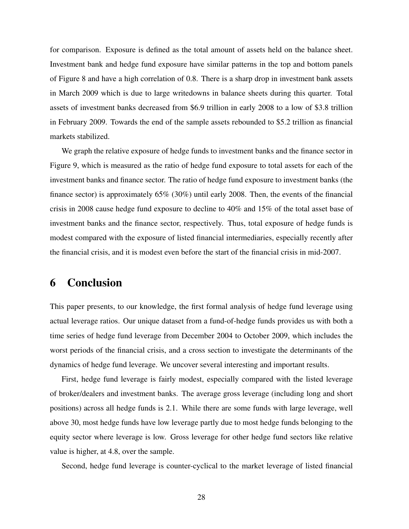for comparison. Exposure is defined as the total amount of assets held on the balance sheet. Investment bank and hedge fund exposure have similar patterns in the top and bottom panels of Figure 8 and have a high correlation of 0.8. There is a sharp drop in investment bank assets in March 2009 which is due to large writedowns in balance sheets during this quarter. Total assets of investment banks decreased from \$6.9 trillion in early 2008 to a low of \$3.8 trillion in February 2009. Towards the end of the sample assets rebounded to \$5.2 trillion as financial markets stabilized.

We graph the relative exposure of hedge funds to investment banks and the finance sector in Figure 9, which is measured as the ratio of hedge fund exposure to total assets for each of the investment banks and finance sector. The ratio of hedge fund exposure to investment banks (the finance sector) is approximately 65% (30%) until early 2008. Then, the events of the financial crisis in 2008 cause hedge fund exposure to decline to 40% and 15% of the total asset base of investment banks and the finance sector, respectively. Thus, total exposure of hedge funds is modest compared with the exposure of listed financial intermediaries, especially recently after the financial crisis, and it is modest even before the start of the financial crisis in mid-2007.

# 6 Conclusion

This paper presents, to our knowledge, the first formal analysis of hedge fund leverage using actual leverage ratios. Our unique dataset from a fund-of-hedge funds provides us with both a time series of hedge fund leverage from December 2004 to October 2009, which includes the worst periods of the financial crisis, and a cross section to investigate the determinants of the dynamics of hedge fund leverage. We uncover several interesting and important results.

First, hedge fund leverage is fairly modest, especially compared with the listed leverage of broker/dealers and investment banks. The average gross leverage (including long and short positions) across all hedge funds is 2.1. While there are some funds with large leverage, well above 30, most hedge funds have low leverage partly due to most hedge funds belonging to the equity sector where leverage is low. Gross leverage for other hedge fund sectors like relative value is higher, at 4.8, over the sample.

Second, hedge fund leverage is counter-cyclical to the market leverage of listed financial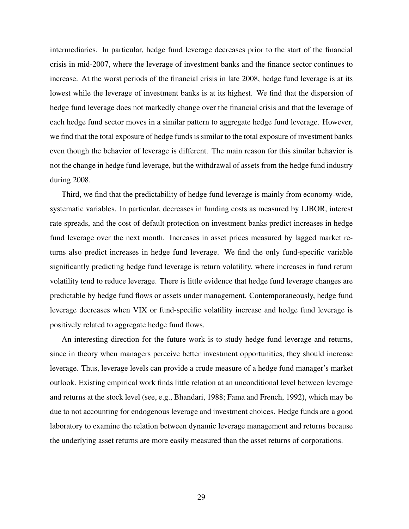intermediaries. In particular, hedge fund leverage decreases prior to the start of the financial crisis in mid-2007, where the leverage of investment banks and the finance sector continues to increase. At the worst periods of the financial crisis in late 2008, hedge fund leverage is at its lowest while the leverage of investment banks is at its highest. We find that the dispersion of hedge fund leverage does not markedly change over the financial crisis and that the leverage of each hedge fund sector moves in a similar pattern to aggregate hedge fund leverage. However, we find that the total exposure of hedge funds is similar to the total exposure of investment banks even though the behavior of leverage is different. The main reason for this similar behavior is not the change in hedge fund leverage, but the withdrawal of assets from the hedge fund industry during 2008.

Third, we find that the predictability of hedge fund leverage is mainly from economy-wide, systematic variables. In particular, decreases in funding costs as measured by LIBOR, interest rate spreads, and the cost of default protection on investment banks predict increases in hedge fund leverage over the next month. Increases in asset prices measured by lagged market returns also predict increases in hedge fund leverage. We find the only fund-specific variable significantly predicting hedge fund leverage is return volatility, where increases in fund return volatility tend to reduce leverage. There is little evidence that hedge fund leverage changes are predictable by hedge fund flows or assets under management. Contemporaneously, hedge fund leverage decreases when VIX or fund-specific volatility increase and hedge fund leverage is positively related to aggregate hedge fund flows.

An interesting direction for the future work is to study hedge fund leverage and returns, since in theory when managers perceive better investment opportunities, they should increase leverage. Thus, leverage levels can provide a crude measure of a hedge fund manager's market outlook. Existing empirical work finds little relation at an unconditional level between leverage and returns at the stock level (see, e.g., Bhandari, 1988; Fama and French, 1992), which may be due to not accounting for endogenous leverage and investment choices. Hedge funds are a good laboratory to examine the relation between dynamic leverage management and returns because the underlying asset returns are more easily measured than the asset returns of corporations.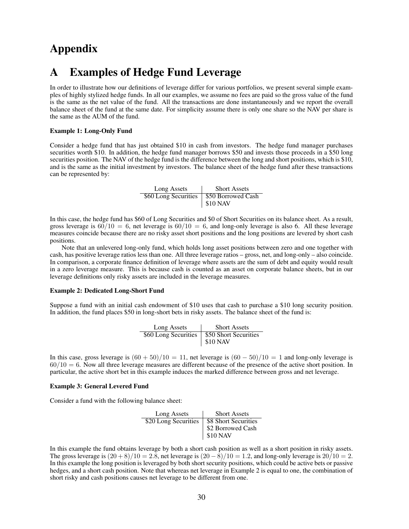# Appendix

# A Examples of Hedge Fund Leverage

In order to illustrate how our definitions of leverage differ for various portfolios, we present several simple examples of highly stylized hedge funds. In all our examples, we assume no fees are paid so the gross value of the fund is the same as the net value of the fund. All the transactions are done instantaneously and we report the overall balance sheet of the fund at the same date. For simplicity assume there is only one share so the NAV per share is the same as the AUM of the fund.

#### Example 1: Long-Only Fund

Consider a hedge fund that has just obtained \$10 in cash from investors. The hedge fund manager purchases securities worth \$10. In addition, the hedge fund manager borrows \$50 and invests those proceeds in a \$50 long securities position. The NAV of the hedge fund is the difference between the long and short positions, which is \$10, and is the same as the initial investment by investors. The balance sheet of the hedge fund after these transactions can be represented by:

| Long Assets                               | <b>Short Assets</b>    |
|-------------------------------------------|------------------------|
| \$60 Long Securities   \$50 Borrowed Cash |                        |
|                                           | $\frac{1}{2}$ \$10 NAV |

In this case, the hedge fund has \$60 of Long Securities and \$0 of Short Securities on its balance sheet. As a result, gross leverage is  $60/10 = 6$ , net leverage is  $60/10 = 6$ , and long-only leverage is also 6. All these leverage measures coincide because there are no risky asset short positions and the long positions are levered by short cash positions.

Note that an unlevered long-only fund, which holds long asset positions between zero and one together with cash, has positive leverage ratios less than one. All three leverage ratios – gross, net, and long-only – also coincide. In comparison, a corporate finance definition of leverage where assets are the sum of debt and equity would result in a zero leverage measure. This is because cash is counted as an asset on corporate balance sheets, but in our leverage definitions only risky assets are included in the leverage measures.

#### Example 2: Dedicated Long-Short Fund

Suppose a fund with an initial cash endowment of \$10 uses that cash to purchase a \$10 long security position. In addition, the fund places \$50 in long-short bets in risky assets. The balance sheet of the fund is:

| Long Assets | <b>Short Assets</b>                       |
|-------------|-------------------------------------------|
|             | \$60 Long Securities 550 Short Securities |
|             | <b>\$10 NAV</b>                           |

In this case, gross leverage is  $(60 + 50)/10 = 11$ , net leverage is  $(60 - 50)/10 = 1$  and long-only leverage is  $60/10 = 6$ . Now all three leverage measures are different because of the presence of the active short position. In particular, the active short bet in this example induces the marked difference between gross and net leverage.

#### Example 3: General Levered Fund

Consider a fund with the following balance sheet:

| Long Assets          | <b>Short Assets</b>  |
|----------------------|----------------------|
| \$20 Long Securities | \$8 Short Securities |
|                      | \$2 Borrowed Cash    |
|                      | \$10 NAV             |

In this example the fund obtains leverage by both a short cash position as well as a short position in risky assets. The gross leverage is  $(20+8)/10 = 2.8$ , net leverage is  $(20-8)/10 = 1.2$ , and long-only leverage is  $20/10 = 2$ . In this example the long position is leveraged by both short security positions, which could be active bets or passive hedges, and a short cash position. Note that whereas net leverage in Example 2 is equal to one, the combination of short risky and cash positions causes net leverage to be different from one.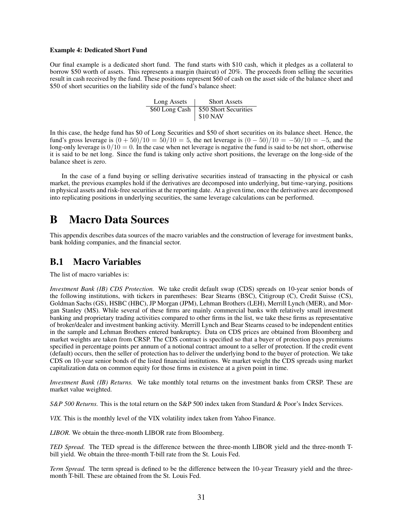#### Example 4: Dedicated Short Fund

Our final example is a dedicated short fund. The fund starts with \$10 cash, which it pledges as a collateral to borrow \$50 worth of assets. This represents a margin (haircut) of 20%. The proceeds from selling the securities result in cash received by the fund. These positions represent \$60 of cash on the asset side of the balance sheet and \$50 of short securities on the liability side of the fund's balance sheet:

| Long Assets | <b>Short Assets</b>                    |
|-------------|----------------------------------------|
|             | \$60 Long Cash   \$50 Short Securities |
|             | \$10 NAV                               |

In this case, the hedge fund has \$0 of Long Securities and \$50 of short securities on its balance sheet. Hence, the fund's gross leverage is  $(0 + 50)/10 = 50/10 = 5$ , the net leverage is  $(0 - 50)/10 = -50/10 = -5$ , and the long-only leverage is  $0/10 = 0$ . In the case when net leverage is negative the fund is said to be net short, otherwise it is said to be net long. Since the fund is taking only active short positions, the leverage on the long-side of the balance sheet is zero.

In the case of a fund buying or selling derivative securities instead of transacting in the physical or cash market, the previous examples hold if the derivatives are decomposed into underlying, but time-varying, positions in physical assets and risk-free securities at the reporting date. At a given time, once the derivatives are decomposed into replicating positions in underlying securities, the same leverage calculations can be performed.

# B Macro Data Sources

This appendix describes data sources of the macro variables and the construction of leverage for investment banks, bank holding companies, and the financial sector.

## B.1 Macro Variables

The list of macro variables is:

*Investment Bank (IB) CDS Protection.* We take credit default swap (CDS) spreads on 10-year senior bonds of the following institutions, with tickers in parentheses: Bear Stearns (BSC), Citigroup (C), Credit Suisse (CS), Goldman Sachs (GS), HSBC (HBC), JP Morgan (JPM), Lehman Brothers (LEH), Merrill Lynch (MER), and Morgan Stanley (MS). While several of these firms are mainly commercial banks with relatively small investment banking and proprietary trading activities compared to other firms in the list, we take these firms as representative of broker/dealer and investment banking activity. Merrill Lynch and Bear Stearns ceased to be independent entities in the sample and Lehman Brothers entered bankruptcy. Data on CDS prices are obtained from Bloomberg and market weights are taken from CRSP. The CDS contract is specified so that a buyer of protection pays premiums specified in percentage points per annum of a notional contract amount to a seller of protection. If the credit event (default) occurs, then the seller of protection has to deliver the underlying bond to the buyer of protection. We take CDS on 10-year senior bonds of the listed financial institutions. We market weight the CDS spreads using market capitalization data on common equity for those firms in existence at a given point in time.

*Investment Bank (IB) Returns.* We take monthly total returns on the investment banks from CRSP. These are market value weighted.

*S&P 500 Returns.* This is the total return on the S&P 500 index taken from Standard & Poor's Index Services.

*VIX.* This is the monthly level of the VIX volatility index taken from Yahoo Finance.

*LIBOR.* We obtain the three-month LIBOR rate from Bloomberg.

*TED Spread.* The TED spread is the difference between the three-month LIBOR yield and the three-month Tbill yield. We obtain the three-month T-bill rate from the St. Louis Fed.

*Term Spread.* The term spread is defined to be the difference between the 10-year Treasury yield and the threemonth T-bill. These are obtained from the St. Louis Fed.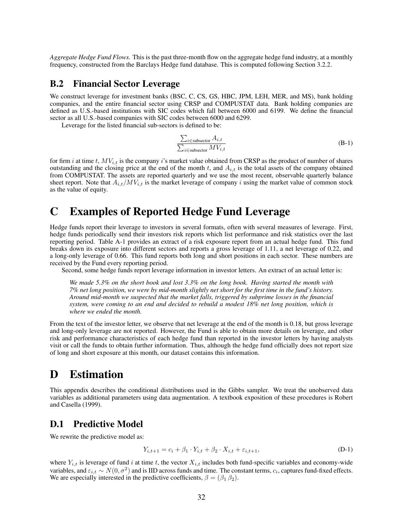*Aggregate Hedge Fund Flows.* This is the past three-month flow on the aggregate hedge fund industry, at a monthly frequency, constructed from the Barclays Hedge fund database. This is computed following Section 3.2.2.

### B.2 Financial Sector Leverage

We construct leverage for investment banks (BSC, C, CS, GS, HBC, JPM, LEH, MER, and MS), bank holding companies, and the entire financial sector using CRSP and COMPUSTAT data. Bank holding companies are defined as U.S.-based institutions with SIC codes which fall between 6000 and 6199. We define the financial sector as all U.S.-based companies with SIC codes between 6000 and 6299.

Leverage for the listed financial sub-sectors is defined to be:

$$
\frac{\sum_{i \in \text{subsector}} A_{i,t}}{\sum_{i \in \text{subsector}} MV_{i,t}}
$$
\n(B-1)

for firm *i* at time *t*, *MVi,t* is the company *i*'s market value obtained from CRSP as the product of number of shares outstanding and the closing price at the end of the month  $t$ , and  $A_{i,t}$  is the total assets of the company obtained from COMPUSTAT. The assets are reported quarterly and we use the most recent, observable quarterly balance sheet report. Note that  $A_{i,t}/MV_{i,t}$  is the market leverage of company *i* using the market value of common stock as the value of equity.

# C Examples of Reported Hedge Fund Leverage

Hedge funds report their leverage to investors in several formats, often with several measures of leverage. First, hedge funds periodically send their investors risk reports which list performance and risk statistics over the last reporting period. Table A-1 provides an extract of a risk exposure report from an actual hedge fund. This fund breaks down its exposure into different sectors and reports a gross leverage of 1.11, a net leverage of 0.22, and a long-only leverage of 0.66. This fund reports both long and short positions in each sector. These numbers are received by the Fund every reporting period.

Second, some hedge funds report leverage information in investor letters. An extract of an actual letter is:

*We made 5.3% on the short book and lost 3.3% on the long book. Having started the month with 7% net long position, we were by mid-month slightly net short for the first time in the fund's history. Around mid-month we suspected that the market falls, triggered by subprime losses in the financial system, were coming to an end and decided to rebuild a modest 18% net long position, which is where we ended the month.*

From the text of the investor letter, we observe that net leverage at the end of the month is 0.18, but gross leverage and long-only leverage are not reported. However, the Fund is able to obtain more details on leverage, and other risk and performance characteristics of each hedge fund than reported in the investor letters by having analysts visit or call the funds to obtain further information. Thus, although the hedge fund officially does not report size of long and short exposure at this month, our dataset contains this information.

# D Estimation

This appendix describes the conditional distributions used in the Gibbs sampler. We treat the unobserved data variables as additional parameters using data augmentation. A textbook exposition of these procedures is Robert and Casella (1999).

### D.1 Predictive Model

We rewrite the predictive model as:

$$
Y_{i,t+1} = c_i + \beta_1 \cdot Y_{i,t} + \beta_2 \cdot X_{i,t} + \varepsilon_{i,t+1},
$$
\n(D-1)

where  $Y_{i,t}$  is leverage of fund *i* at time *t*, the vector  $X_{i,t}$  includes both fund-specific variables and economy-wide variables, and  $\varepsilon_{i,t} \sim N(0, \sigma^2)$  and is IID across funds and time. The constant terms,  $c_i$ , captures fund-fixed effects. We are especially interested in the predictive coefficients,  $\beta = (\beta_1 \beta_2)$ .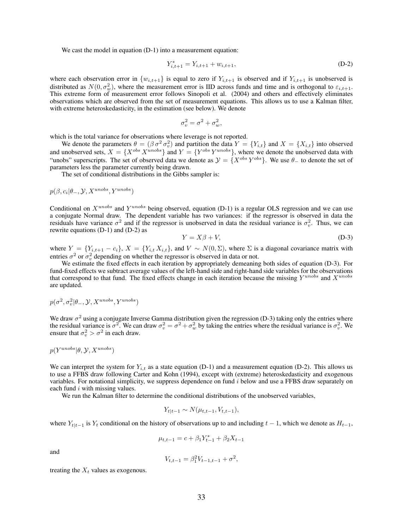We cast the model in equation (D-1) into a measurement equation:

$$
Y_{i,t+1}^* = Y_{i,t+1} + w_{i,t+1},
$$
\n(D-2)

where each observation error in  $\{w_{i,t+1}\}$  is equal to zero if  $Y_{i,t+1}$  is observed and if  $Y_{i,t+1}$  is unobserved is distributed as  $N(0, \sigma_w^2)$ , where the measurement error is IID across funds and time and is orthogonal to  $\varepsilon_{i,t+1}$ . This extreme form of measurement error follows Sinopoli et al. (2004) and others and effectively eliminates observations which are observed from the set of measurement equations. This allows us to use a Kalman filter, with extreme heteroskedasticity, in the estimation (see below). We denote

$$
\sigma_v^2 = \sigma^2 + \sigma_w^2,
$$

which is the total variance for observations where leverage is not reported.

We denote the parameters  $\theta = (\beta \sigma^2 \sigma_v^2)$  and partition the data  $Y = \{Y_{i,t}\}\$ and  $X = \{X_{i,t}\}\$ into observed and unobserved sets,  $X = \{X^{obs} X^{unobs}\}$  and  $Y = \{Y^{obs} Y^{unobs}\}$ , where we denote the unobserved data with "unobs" superscripts. The set of observed data we denote as  $\mathcal{Y} = \{X^{obs}Y^{obs}\}$ . We use  $\theta_{-}$  to denote the set of parameters less the parameter currently being drawn.

The set of conditional distributions in the Gibbs sampler is:

$$
p(\beta, c_i | \theta_-, \mathcal{Y}, X^{unobs}, Y^{unobs})
$$

Conditional on *Xunobs* and *Y unobs* being observed, equation (D-1) is a regular OLS regression and we can use a conjugate Normal draw. The dependent variable has two variances: if the regressor is observed in data the residuals have variance  $\sigma^2$  and if the regressor is unobserved in data the residual variance is  $\sigma_v^2$ . Thus, we can rewrite equations (D-1) and (D-2) as

$$
Y = X\beta + V,\tag{D-3}
$$

where  $Y = \{Y_{i,t+1} - c_i\}$ ,  $X = \{Y_{i,t} X_{i,t}\}$ , and  $V \sim N(0, \Sigma)$ , where  $\Sigma$  is a diagonal covariance matrix with entries  $\sigma^2$  or  $\sigma_v^2$  depending on whether the regressor is observed in data or not.

We estimate the fixed effects in each iteration by appropriately demeaning both sides of equation (D-3). For fund-fixed effects we subtract average values of the left-hand side and right-hand side variables for the observations that correspond to that fund. The fixed effects change in each iteration because the missing *Y unobs* and *Xunobs* are updated.

$$
p(\sigma^2, \sigma_v^2 | \theta_-, \mathcal{Y}, X^{unobs}, Y^{unobs})
$$

We draw  $\sigma^2$  using a conjugate Inverse Gamma distribution given the regression (D-3) taking only the entries where the residual variance is  $\sigma^2$ . We can draw  $\sigma_v^2 = \sigma^2 + \sigma_w^2$  by taking the entries where the residual variance is  $\sigma_v^2$ . We ensure that  $\sigma_v^2 > \sigma^2$  in each draw.

$$
p(Y^{unobs}|\theta, \mathcal{Y}, X^{unobs})
$$

We can interpret the system for  $Y_{i,t}$  as a state equation  $(D-1)$  and a measurement equation  $(D-2)$ . This allows us to use a FFBS draw following Carter and Kohn (1994), except with (extreme) heteroskedasticity and exogenous variables. For notational simplicity, we suppress dependence on fund *i* below and use a FFBS draw separately on each fund *i* with missing values.

We run the Kalman filter to determine the conditional distributions of the unobserved variables,

$$
Y_{t|t-1} \sim N(\mu_{t,t-1}, V_{t,t-1}),
$$

where  $Y_{t|t-1}$  is  $Y_t$  conditional on the history of observations up to and including  $t-1$ , which we denote as  $H_{t-1}$ ,

$$
\mu_{t,t-1} = c + \beta_1 Y_{t-1}^* + \beta_2 X_{t-1}
$$

and

$$
V_{t,t-1} = \beta_1^2 V_{t-1,t-1} + \sigma^2,
$$

treating the  $X_t$  values as exogenous.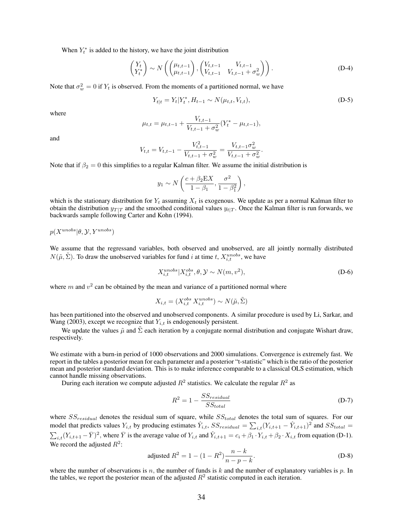When  $Y_t^*$  is added to the history, we have the joint distribution

$$
\begin{pmatrix} Y_t \\ Y_t^* \end{pmatrix} \sim N \left( \begin{pmatrix} \mu_{t,t-1} \\ \mu_{t,t-1} \end{pmatrix}, \begin{pmatrix} V_{t,t-1} & V_{t,t-1} \\ V_{t,t-1} & V_{t,t-1} + \sigma_w^2 \end{pmatrix} \right).
$$
 (D-4)

Note that  $\sigma_w^2 = 0$  if  $Y_t$  is observed. From the moments of a partitioned normal, we have

$$
Y_{t|t} = Y_t | Y_t^*, H_{t-1} \sim N(\mu_{t,t}, V_{t,t}), \tag{D-5}
$$

where

$$
\mu_{t,t} = \mu_{t,t-1} + \frac{V_{t,t-1}}{V_{t,t-1} + \sigma_w^2} (Y_t^* - \mu_{t,t-1}),
$$

and

$$
V_{t,t} = V_{t,t-1} - \frac{V_{t,t-1}^2}{V_{t,t-1} + \sigma_w^2} = \frac{V_{t,t-1}\sigma_w^2}{V_{t,t-1} + \sigma_w^2}.
$$

Note that if  $\beta_2 = 0$  this simplifies to a regular Kalman filter. We assume the initial distribution is

$$
y_1 \sim N\left(\frac{c + \beta_2 \mathbf{E} X}{1 - \beta_1}, \frac{\sigma^2}{1 - \beta_1^2}\right),\,
$$

which is the stationary distribution for  $Y_t$  assuming  $X_t$  is exogenous. We update as per a normal Kalman filter to obtain the distribution  $y_{T|T}$  and the smoothed conditional values  $y_{t|T}$ . Once the Kalman filter is run forwards, we backwards sample following Carter and Kohn (1994).

$$
p(X^{unobs}|\theta, \mathcal{Y}, Y^{unobs})
$$

We assume that the regressand variables, both observed and unobserved, are all jointly normally distributed  $N(\tilde{\mu}, \tilde{\Sigma})$ . To draw the unobserved variables for fund *i* at time *t*,  $X_{i,t}^{unobs}$ , we have

$$
X_{i,t}^{unobs}|X_{i,t}^{obs}, \theta, \mathcal{Y} \sim N(m, v^2), \tag{D-6}
$$

where  $m$  and  $v^2$  can be obtained by the mean and variance of a partitioned normal where

$$
X_{i,t} = (X_{i,t}^{obs} X_{i,t}^{unobs}) \sim N(\tilde{\mu}, \tilde{\Sigma})
$$

has been partitioned into the observed and unobserved components. A similar procedure is used by Li, Sarkar, and Wang (2003), except we recognize that  $Y_{i,t}$  is endogenously persistent.

We update the values  $\tilde{\mu}$  and  $\tilde{\Sigma}$  each iteration by a conjugate normal distribution and conjugate Wishart draw, respectively.

We estimate with a burn-in period of 1000 observations and 2000 simulations. Convergence is extremely fast. We report in the tables a posterior mean for each parameter and a posterior "t-statistic" which is the ratio of the posterior mean and posterior standard deviation. This is to make inference comparable to a classical OLS estimation, which cannot handle missing observations.

During each iteration we compute adjusted  $R^2$  statistics. We calculate the regular  $R^2$  as

$$
R^2 = 1 - \frac{SS_{residual}}{SS_{total}}
$$
 (D-7)

where *SSresidual* denotes the residual sum of square, while *SStotal* denotes the total sum of squares. For our model that predicts values  $Y_{i,t}$  by producing estimates  $\hat{Y}_{i,t}$ ,  $SS_{residual} = \sum_{i,t} (Y_{i,t+1} - \hat{Y}_{i,t+1})^2$  and  $SS_{total} =$  $\sum_{i,t}(Y_{i,t+1}-\bar{Y})^2$ , where  $\bar{Y}$  is the average value of  $Y_{i,t}$  and  $\hat{Y}_{i,t+1} = c_i + \beta_1 \cdot Y_{i,t} + \beta_2 \cdot X_{i,t}$  from equation (D-1). We record the adjusted  $R^2$ :

adjusted 
$$
R^2 = 1 - (1 - R^2) \frac{n - k}{n - p - k}
$$
. (D-8)

where the number of observations is *n,* the number of funds is *k* and the number of explanatory variables is *p*. In the tables, we report the posterior mean of the adjusted  $R^2$  statistic computed in each iteration.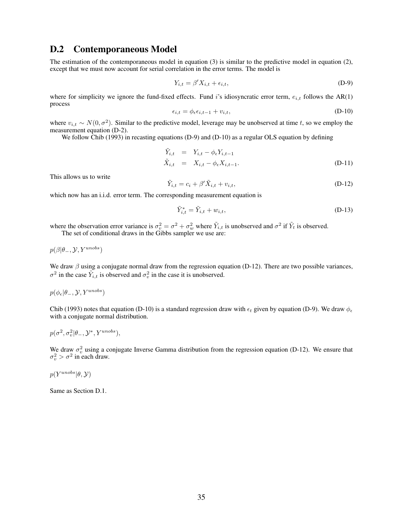## D.2 Contemporaneous Model

The estimation of the contemporaneous model in equation (3) is similar to the predictive model in equation (2), except that we must now account for serial correlation in the error terms. The model is

$$
Y_{i,t} = \beta' X_{i,t} + \epsilon_{i,t},\tag{D-9}
$$

where for simplicity we ignore the fund-fixed effects. Fund *i*'s idiosyncratic error term,  $e_{i,t}$  follows the AR(1) process

$$
\epsilon_{i,t} = \phi_{\epsilon} \epsilon_{i,t-1} + v_{i,t}, \tag{D-10}
$$

where  $v_{i,t} \sim N(0, \sigma^2)$ . Similar to the predictive model, leverage may be unobserved at time *t*, so we employ the measurement equation (D-2).

We follow Chib (1993) in recasting equations (D-9) and (D-10) as a regular OLS equation by defining

$$
\tilde{Y}_{i,t} = Y_{i,t} - \phi_{\epsilon} Y_{i,t-1}
$$
\n
$$
\tilde{X}_{i,t} = X_{i,t} - \phi_{\epsilon} X_{i,t-1}.
$$
\n(D-11)

This allows us to write

$$
\tilde{Y}_{i,t} = c_i + \beta' \tilde{X}_{i,t} + v_{i,t},\tag{D-12}
$$

which now has an i.i.d. error term. The corresponding measurement equation is

$$
\tilde{Y}_{i,t}^* = \tilde{Y}_{i,t} + w_{i,t},\tag{D-13}
$$

where the observation error variance is  $\sigma_v^2 = \sigma^2 + \sigma_w^2$  where  $\tilde{Y}_{i,t}$  is unobserved and  $\sigma^2$  if  $\tilde{Y}_t$  is observed. The set of conditional draws in the Gibbs sampler we use are:

 $p(\beta | \theta_-, \mathcal{Y}, Y^{unobs})$ 

We draw *β* using a conjugate normal draw from the regression equation (D-12). There are two possible variances,  $\sigma^2$  in the case  $\tilde{Y}_{i,t}$  is observed and  $\sigma_v^2$  in the case it is unobserved.

$$
p(\phi_{\epsilon}|\theta_{-}, \mathcal{Y}, Y^{unobs})
$$

Chib (1993) notes that equation (D-10) is a standard regression draw with  $\epsilon_t$  given by equation (D-9). We draw  $\phi_{\epsilon}$ with a conjugate normal distribution.

 $p(\sigma^2, \sigma_v^2 | \theta_-, \mathcal{Y}^*, Y^{unobs}),$ 

We draw  $\sigma_v^2$  using a conjugate Inverse Gamma distribution from the regression equation (D-12). We ensure that  $\sigma_v^2 > \sigma^2$  in each draw.

 $p(Y^{unobs}|\theta, \mathcal{Y})$ 

Same as Section D.1.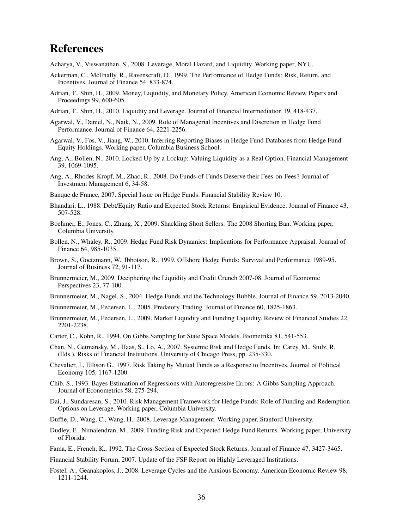# References

- Acharya, V., Viswanathan, S., 2008. Leverage, Moral Hazard, and Liquidity. Working paper, NYU.
- Ackerman, C., McEnally, R., Ravenscraft, D., 1999. The Performance of Hedge Funds: Risk, Return, and Incentives. Journal of Finance 54, 833-874.
- Adrian, T., Shin, H., 2009. Money, Liquidity, and Monetary Policy. American Economic Review Papers and Proceedings 99, 600-605.
- Adrian, T., Shin, H., 2010. Liquidity and Leverage. Journal of Financial Intermediation 19, 418-437.
- Agarwal, V., Daniel, N., Naik, N., 2009. Role of Managerial Incentives and Discretion in Hedge Fund Performance. Journal of Finance 64, 2221-2256.
- Agarwal, V., Fos, V., Jiang, W., 2010. Inferring Reporting Biases in Hedge Fund Databases from Hedge Fund Equity Holdings. Working paper, Columbia Business School.
- Ang, A., Bollen, N., 2010. Locked Up by a Lockup: Valuing Liquidity as a Real Option. Financial Management 39, 1069-1095.
- Ang, A., Rhodes-Kropf, M., Zhao, R., 2008. Do Funds-of-Funds Deserve their Fees-on-Fees? Journal of Investment Management 6, 34-58.
- Banque de France, 2007. Special Issue on Hedge Funds. Financial Stability Review 10.
- Bhandari, L., 1988. Debt/Equity Ratio and Expected Stock Returns: Empirical Evidence. Journal of Finance 43, 507-528.
- Boehmer, E., Jones, C., Zhang, X., 2009. Shackling Short Sellers: The 2008 Shorting Ban. Working paper, Columbia University.
- Bollen, N., Whaley, R., 2009. Hedge Fund Risk Dynamics: Implications for Performance Appraisal. Journal of Finance 64, 985-1035.
- Brown, S., Goetzmann, W., Ibbotson, R., 1999. Offshore Hedge Funds: Survival and Performance 1989-95. Journal of Business 72, 91-117.
- Brunnermeier, M., 2009. Deciphering the Liquidity and Credit Crunch 2007-08. Journal of Economic Perspectives 23, 77-100.
- Brunnermeier, M., Nagel, S., 2004. Hedge Funds and the Technology Bubble. Journal of Finance 59, 2013-2040.
- Brunnermeier, M., Pedersen, L., 2005. Predatory Trading. Journal of Finance 60, 1825-1863.
- Brunnermeier, M., Pedersen, L., 2009. Market Liquidity and Funding Liquidity. Review of Financial Studies 22, 2201-2238.
- Carter, C., Kohn, R., 1994. On Gibbs Sampling for State Space Models. Biometrika 81, 541-553.
- Chan, N., Getmansky, M., Haas, S., Lo, A., 2007. Systemic Risk and Hedge Funds. In: Carey, M., Stulz, R. (Eds.), Risks of Financial Institutions. University of Chicago Press, pp. 235-330.
- Chevalier, J., Ellison G., 1997. Risk Taking by Mutual Funds as a Response to Incentives. Journal of Political Economy 105, 1167-1200.
- Chib, S., 1993. Bayes Estimation of Regressions with Autoregressive Errors: A Gibbs Sampling Approach. Journal of Econometrics 58, 275-294.
- Dai, J., Sundaresan, S., 2010. Risk Management Framework for Hedge Funds: Role of Funding and Redemption Options on Leverage. Working paper, Columbia University.
- Duffie, D., Wang, C., Wang, H., 2008. Leverage Management. Working paper, Stanford University.
- Dudley, E., Nimalendran, M., 2009. Funding Risk and Expected Hedge Fund Returns. Working paper, University of Florida.
- Fama, E., French, K., 1992. The Cross-Section of Expected Stock Returns. Journal of Finance 47, 3427-3465.
- Financial Stability Forum, 2007. Update of the FSF Report on Highly Leveraged Institutions.
- Fostel, A., Geanakoplos, J., 2008. Leverage Cycles and the Anxious Economy. American Economic Review 98, 1211-1244.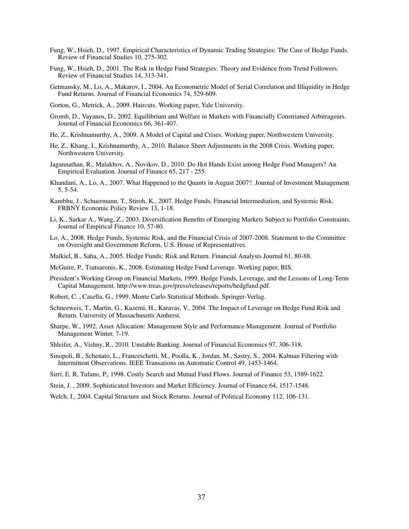- Fung, W., Hsieh, D., 1997. Empirical Characteristics of Dynamic Trading Strategies: The Case of Hedge Funds. Review of Financial Studies 10, 275-302.
- Fung, W., Hsieh, D., 2001. The Risk in Hedge Fund Strategies: Theory and Evidence from Trend Followers. Review of Financial Studies 14, 313-341.
- Getmansky, M., Lo, A., Makarov, I., 2004. An Econometric Model of Serial Correlation and Illiquidity in Hedge Fund Returns. Journal of Financial Economics 74, 529-609.
- Gorton, G., Metrick, A., 2009. Haircuts. Working paper, Yale University.
- Gromb, D., Vayanos, D., 2002. Equilibrium and Welfare in Markets with Financially Constrianed Arbitrageurs. Journal of Financial Economics 66, 361-407.
- He, Z., Krishnamurthy, A., 2009. A Model of Capital and Crises. Working paper, Northwestern University.
- He, Z., Khang, I., Krishnamurthy, A., 2010. Balance Sheet Adjustments in the 2008 Crisis. Working paper, Northwestern University.
- Jagannathan, R., Malakhov, A., Novikov, D., 2010. Do Hot Hands Exist among Hedge Fund Managers? An Empirical Evaluation. Journal of Finance 65, 217 - 255.
- Khandani, A., Lo, A., 2007. What Happened to the Quants in August 2007?. Journal of Investment Management 5, 5-54.
- Kambhu, J., Schuermann, T., Stiroh, K., 2007. Hedge Funds, Financial Intermediation, and Systemic Risk. FRBNY Economic Policy Review 13, 1-18.
- Li, K., Sarkar A., Wang, Z., 2003. Diversification Benefits of Emerging Markets Subject to Portfolio Constraints. Journal of Empirical Finance 10, 57-80.
- Lo, A., 2008. Hedge Funds, Systemic Risk, and the Financial Crisis of 2007-2008. Statement to the Committee on Oversight and Government Reform, U.S. House of Representatives.
- Malkiel, B., Saha, A., 2005. Hedge Funds: Risk and Return. Financial Analysts Journal 61, 80-88.
- McGuire, P., Tsatsaronis, K., 2008. Estimating Hedge Fund Leverage. Working paper, BIS.
- President's Working Group on Financial Markets, 1999. Hedge Funds, Leverage, and the Lessons of Long-Term Capital Management. http://www.treas.gov/press/releases/reports/hedgfund.pdf.
- Robert, C. , Casella, G., 1999. Monte Carlo Statistical Methods. Springer-Verlag.
- Schneeweis, T., Martin, G., Kazemi, H., Karavas, V., 2004. The Impact of Leverage on Hedge Fund Risk and Return. University of Massachusetts Amherst.
- Sharpe, W., 1992. Asset Allocation: Management Style and Performance Management. Journal of Portfolio Management Winter, 7-19.
- Shleifer, A., Vishny, R., 2010. Unstable Banking. Journal of Financial Economics 97, 306-318.
- Sinopoli, B., Schenato, L., Franceschetti, M., Poolla, K., Jordan, M., Sastry, S., 2004. Kalman Filtering with Intermittent Observations. IEEE Transations on Automatic Control 49, 1453-1464.
- Sirri, E. R, Tufano, P., 1998. Costly Search and Mutual Fund Flows. Journal of Finance 53, 1589-1622.
- Stein, J. , 2009. Sophisticated Investors and Market Efficiency. Journal of Finance 64, 1517-1548.
- Welch, I., 2004. Capital Structure and Stock Returns. Journal of Political Economy 112, 106-131.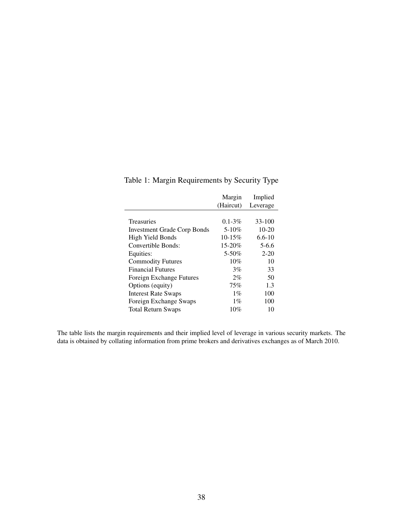|                                    | Margin      | Implied    |
|------------------------------------|-------------|------------|
|                                    | (Haircut)   | Leverage   |
|                                    |             |            |
| <b>Treasuries</b>                  | $0.1 - 3\%$ | $33 - 100$ |
| <b>Investment Grade Corp Bonds</b> | $5 - 10\%$  | $10-20$    |
| High Yield Bonds                   | $10-15%$    | $6.6 - 10$ |
| Convertible Bonds:                 | 15-20%      | $5 - 6.6$  |
| Equities:                          | $5 - 50\%$  | $2 - 20$   |
| <b>Commodity Futures</b>           | 10%         | 10         |
| <b>Financial Futures</b>           | 3%          | 33         |
| Foreign Exchange Futures           | 2%          | 50         |
| Options (equity)                   | 75%         | 1.3        |
| <b>Interest Rate Swaps</b>         | $1\%$       | 100        |
| Foreign Exchange Swaps             | $1\%$       | 100        |

Table 1: Margin Requirements by Security Type

The table lists the margin requirements and their implied level of leverage in various security markets. The data is obtained by collating information from prime brokers and derivatives exchanges as of March 2010.

Total Return Swaps  $10\%$  10% 10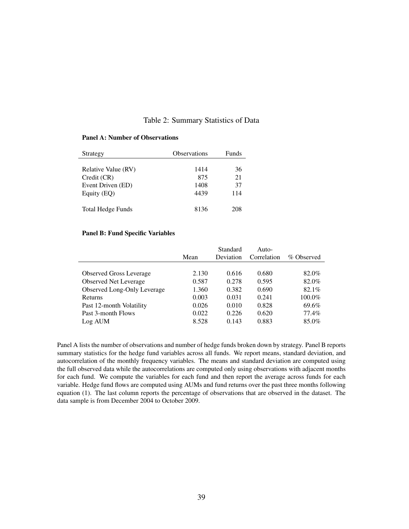### Table 2: Summary Statistics of Data

| Strategy                 | Observations | <b>Funds</b> |
|--------------------------|--------------|--------------|
|                          |              |              |
| Relative Value (RV)      | 1414         | 36           |
| Credit (CR)              | 875          | 21           |
| Event Driven (ED)        | 1408         | 37           |
| Equity (EQ)              | 4439         | 114          |
| <b>Total Hedge Funds</b> | 8136         | 208          |

#### Panel A: Number of Observations

#### Panel B: Fund Specific Variables

|                                |       | Standard  | Auto-       |            |
|--------------------------------|-------|-----------|-------------|------------|
|                                | Mean  | Deviation | Correlation | % Observed |
|                                |       |           |             |            |
| <b>Observed Gross Leverage</b> | 2.130 | 0.616     | 0.680       | 82.0%      |
| <b>Observed Net Leverage</b>   | 0.587 | 0.278     | 0.595       | 82.0%      |
| Observed Long-Only Leverage    | 1.360 | 0.382     | 0.690       | 82.1%      |
| Returns                        | 0.003 | 0.031     | 0.241       | 100.0%     |
| Past 12-month Volatility       | 0.026 | 0.010     | 0.828       | 69.6%      |
| Past 3-month Flows             | 0.022 | 0.226     | 0.620       | 77.4%      |
| Log AUM                        | 8.528 | 0.143     | 0.883       | 85.0%      |

Panel A lists the number of observations and number of hedge funds broken down by strategy. Panel B reports summary statistics for the hedge fund variables across all funds. We report means, standard deviation, and autocorrelation of the monthly frequency variables. The means and standard deviation are computed using the full observed data while the autocorrelations are computed only using observations with adjacent months for each fund. We compute the variables for each fund and then report the average across funds for each variable. Hedge fund flows are computed using AUMs and fund returns over the past three months following equation (1). The last column reports the percentage of observations that are observed in the dataset. The data sample is from December 2004 to October 2009.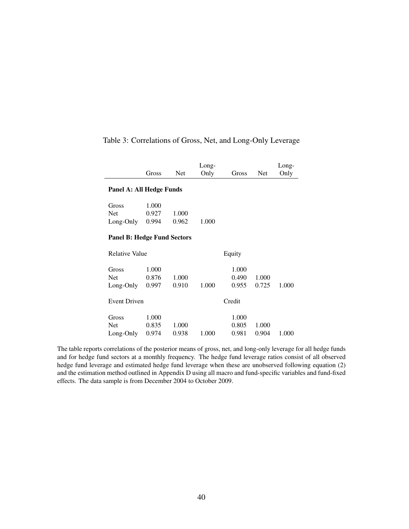### Table 3: Correlations of Gross, Net, and Long-Only Leverage

|  | Long-          |                | Long- |
|--|----------------|----------------|-------|
|  | Gross Net Only | Gross Net Only |       |
|  |                |                |       |

#### Panel A: All Hedge Funds

| <b>Gross</b>    | 1.000 |       |       |
|-----------------|-------|-------|-------|
| Net             | 0.927 | 1.000 |       |
| Long-Only 0.994 |       | 0.962 | 1.000 |

#### Panel B: Hedge Fund Sectors

| <b>Relative Value</b> |       |       |       | Equity |       |       |  |  |
|-----------------------|-------|-------|-------|--------|-------|-------|--|--|
| Gross                 | 1.000 |       |       | 1.000  |       |       |  |  |
| <b>Net</b>            | 0.876 | 1.000 |       | 0.490  | 1.000 |       |  |  |
| Long-Only             | 0.997 | 0.910 | 1.000 | 0.955  | 0.725 | 1.000 |  |  |
| <b>Event Driven</b>   |       |       |       | Credit |       |       |  |  |
| Gross                 | 1.000 |       |       | 1.000  |       |       |  |  |
| Net                   | 0.835 | 1.000 |       | 0.805  | 1.000 |       |  |  |
| Long-Only             | 0.974 | 0.938 | 1.000 | 0.981  | 0.904 | 1.000 |  |  |

The table reports correlations of the posterior means of gross, net, and long-only leverage for all hedge funds and for hedge fund sectors at a monthly frequency. The hedge fund leverage ratios consist of all observed hedge fund leverage and estimated hedge fund leverage when these are unobserved following equation (2) and the estimation method outlined in Appendix D using all macro and fund-specific variables and fund-fixed effects. The data sample is from December 2004 to October 2009.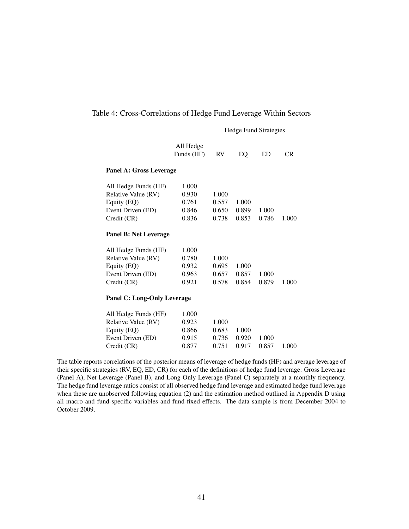|                                                                                                                                |                                           | <b>Hedge Fund Strategies</b>     |                         |                |           |
|--------------------------------------------------------------------------------------------------------------------------------|-------------------------------------------|----------------------------------|-------------------------|----------------|-----------|
|                                                                                                                                | All Hedge<br>Funds (HF)                   | RV                               | EO                      | ED             | <b>CR</b> |
| Panel A: Gross Leverage                                                                                                        |                                           |                                  |                         |                |           |
| All Hedge Funds (HF)<br>Relative Value (RV)<br>Equity (EQ)<br>Event Driven (ED)<br>Credit (CR)<br><b>Panel B: Net Leverage</b> | 1.000<br>0.930<br>0.761<br>0.846<br>0.836 | 1.000<br>0.557<br>0.650<br>0.738 | 1.000<br>0.899<br>0.853 | 1.000<br>0.786 | 1.000     |
| All Hedge Funds (HF)<br>Relative Value (RV)<br>Equity (EQ)<br>Event Driven (ED)<br>Credit (CR)                                 | 1.000<br>0.780<br>0.932<br>0.963<br>0.921 | 1.000<br>0.695<br>0.657<br>0.578 | 1.000<br>0.857<br>0.854 | 1.000<br>0.879 | 1.000     |
| <b>Panel C: Long-Only Leverage</b>                                                                                             |                                           |                                  |                         |                |           |
| All Hedge Funds (HF)<br>Relative Value (RV)<br>Equity (EQ)<br>Event Driven (ED)<br>Credit (CR)                                 | 1.000<br>0.923<br>0.866<br>0.915<br>0.877 | 1.000<br>0.683<br>0.736<br>0.751 | 1.000<br>0.920<br>0.917 | 1.000<br>0.857 | 1.000     |

### Table 4: Cross-Correlations of Hedge Fund Leverage Within Sectors

The table reports correlations of the posterior means of leverage of hedge funds (HF) and average leverage of their specific strategies (RV, EQ, ED, CR) for each of the definitions of hedge fund leverage: Gross Leverage (Panel A), Net Leverage (Panel B), and Long Only Leverage (Panel C) separately at a monthly frequency. The hedge fund leverage ratios consist of all observed hedge fund leverage and estimated hedge fund leverage when these are unobserved following equation (2) and the estimation method outlined in Appendix D using all macro and fund-specific variables and fund-fixed effects. The data sample is from December 2004 to October 2009.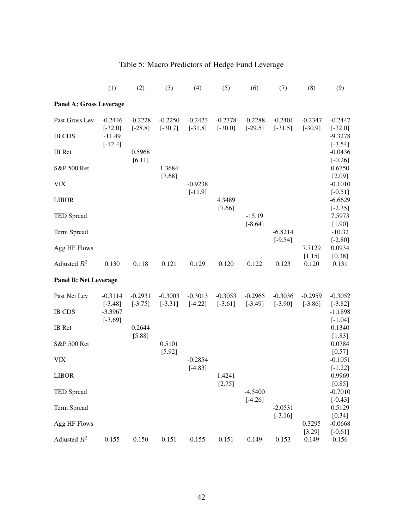|                                | (1)                                | (2)                    | (3)                    | (4)                    | (5)                    | (6)                    | (7)                    | (8)                    | (9)                                 |  |
|--------------------------------|------------------------------------|------------------------|------------------------|------------------------|------------------------|------------------------|------------------------|------------------------|-------------------------------------|--|
| <b>Panel A: Gross Leverage</b> |                                    |                        |                        |                        |                        |                        |                        |                        |                                     |  |
| Past Gross Lev                 | $-0.2446$                          | $-0.2228$              | $-0.2250$<br>$[-30.7]$ | $-0.2423$<br>$[-31.8]$ | $-0.2378$<br>$[-30.0]$ | $-0.2288$<br>$[-29.5]$ | $-0.2401$<br>$[-31.5]$ | $-0.2347$<br>$[-30.9]$ | $-0.2447$                           |  |
| <b>IB CDS</b>                  | $[-32.0]$<br>$-11.49$<br>$[-12.4]$ | $[-28.8]$              |                        |                        |                        |                        |                        |                        | $[-32.0]$<br>$-9.3278$<br>$[-3.54]$ |  |
| IB Ret                         |                                    | 0.5968<br>[6.11]       |                        |                        |                        |                        |                        |                        | $-0.0436$<br>$[-0.26]$              |  |
| S&P 500 Ret                    |                                    |                        | 1.3684<br>[7.68]       |                        |                        |                        |                        |                        | 0.6750<br>[2.09]                    |  |
| <b>VIX</b>                     |                                    |                        |                        | $-0.9238$<br>$[-11.9]$ |                        |                        |                        |                        | $-0.1010$<br>$[-0.51]$              |  |
| <b>LIBOR</b>                   |                                    |                        |                        |                        | 4.3489<br>[7.66]       |                        |                        |                        | $-6.6629$<br>$[-2.35]$              |  |
| <b>TED Spread</b>              |                                    |                        |                        |                        |                        | $-15.19$<br>$[-8.64]$  |                        |                        | 7.5973<br>[1.90]                    |  |
| Term Spread                    |                                    |                        |                        |                        |                        |                        | $-6.8214$<br>$[-9.54]$ |                        | $-10.32$<br>$[-2.80]$               |  |
| Agg HF Flows                   |                                    |                        |                        |                        |                        |                        |                        | 7.7129<br>[1.15]       | 0.0934<br>[0.38]                    |  |
| Adjusted $R^2$                 | 0.130                              | 0.118                  | 0.121                  | 0.129                  | 0.120                  | 0.122                  | 0.123                  | 0.120                  | 0.131                               |  |
| <b>Panel B: Net Leverage</b>   |                                    |                        |                        |                        |                        |                        |                        |                        |                                     |  |
| Past Net Lev                   | $-0.3114$<br>$[-3.48]$             | $-0.2931$<br>$[-3.75]$ | $-0.3003$<br>$[-3.31]$ | $-0.3013$<br>$[-4.22]$ | $-0.3053$<br>$[-3.61]$ | $-0.2965$<br>$[-3.49]$ | $-0.3036$<br>$[-3.90]$ | $-0.2959$<br>$[-3.86]$ | $-0.3052$<br>$[-3.82]$              |  |
| <b>IB CDS</b>                  | $-3.3967$<br>$[-3.69]$             |                        |                        |                        |                        |                        |                        |                        | $-1.1898$<br>$[-1.04]$              |  |
| <b>IB</b> Ret                  |                                    | 0.2644<br>[5.88]       |                        |                        |                        |                        |                        |                        | 0.1340<br>[1.83]                    |  |
| S&P 500 Ret                    |                                    |                        | 0.5101<br>[5.92]       |                        |                        |                        |                        |                        | 0.0784<br>[0.57]                    |  |
| <b>VIX</b>                     |                                    |                        |                        | $-0.2854$<br>$[-4.83]$ |                        |                        |                        |                        | $-0.1051$<br>$[-1.22]$              |  |
| <b>LIBOR</b>                   |                                    |                        |                        |                        | 1.4241<br>[2.75]       |                        |                        |                        | 0.9969<br>[0.85]                    |  |
| TED Spread                     |                                    |                        |                        |                        |                        | $-4.5400$<br>$[-4.26]$ |                        |                        | $-0.7010$<br>$[-0.43]$              |  |
| Term Spread                    |                                    |                        |                        |                        |                        |                        | $-2.0531$<br>$[-3.16]$ |                        | 0.5129<br>[0.34]                    |  |
| Agg HF Flows                   |                                    |                        |                        |                        |                        |                        |                        | 0.3295<br>[3.29]       | $-0.0668$<br>$[-0.61]$              |  |
| Adjusted $R^2$                 | 0.155                              | 0.150                  | 0.151                  | 0.155                  | 0.151                  | 0.149                  | 0.153                  | 0.149                  | 0.156                               |  |

# Table 5: Macro Predictors of Hedge Fund Leverage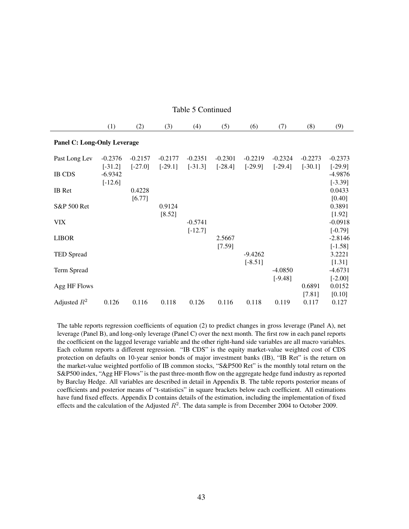|                                    |                        |                        |                        | $10010 \times \text{C}$ |                        |                        |                        |                        |                        |
|------------------------------------|------------------------|------------------------|------------------------|-------------------------|------------------------|------------------------|------------------------|------------------------|------------------------|
|                                    | (1)                    | (2)                    | (3)                    | (4)                     | (5)                    | (6)                    | (7)                    | (8)                    | (9)                    |
| <b>Panel C: Long-Only Leverage</b> |                        |                        |                        |                         |                        |                        |                        |                        |                        |
| Past Long Lev                      | $-0.2376$<br>$[-31.2]$ | $-0.2157$<br>$[-27.0]$ | $-0.2177$<br>$[-29.1]$ | $-0.2351$<br>$[-31.3]$  | $-0.2301$<br>$[-28.4]$ | $-0.2219$<br>$[-29.9]$ | $-0.2324$<br>$[-29.4]$ | $-0.2273$<br>$[-30.1]$ | $-0.2373$<br>$[-29.9]$ |
| <b>IB CDS</b>                      | $-6.9342$<br>$[-12.6]$ |                        |                        |                         |                        |                        |                        |                        | $-4.9876$<br>$[-3.39]$ |
| <b>IB</b> Ret                      |                        | 0.4228<br>[6.77]       |                        |                         |                        |                        |                        |                        | 0.0433<br>[0.40]       |
| S&P 500 Ret                        |                        |                        | 0.9124<br>[8.52]       |                         |                        |                        |                        |                        | 0.3891<br>[1.92]       |
| <b>VIX</b>                         |                        |                        |                        | $-0.5741$<br>$[-12.7]$  |                        |                        |                        |                        | $-0.0918$<br>$[-0.79]$ |
| <b>LIBOR</b>                       |                        |                        |                        |                         | 2.5667<br>[7.59]       |                        |                        |                        | $-2.8146$<br>$[-1.58]$ |
| <b>TED Spread</b>                  |                        |                        |                        |                         |                        | $-9.4262$<br>$[-8.51]$ |                        |                        | 3.2221<br>$[1.31]$     |
| Term Spread                        |                        |                        |                        |                         |                        |                        | $-4.0850$<br>$[-9.48]$ |                        | $-4.6731$<br>$[-2.00]$ |
| Agg HF Flows                       |                        |                        |                        |                         |                        |                        |                        | 0.6891<br>[7.81]       | 0.0152<br>[0.10]       |
| Adjusted $R^2$                     | 0.126                  | 0.116                  | 0.118                  | 0.126                   | 0.116                  | 0.118                  | 0.119                  | 0.117                  | 0.127                  |

Table 5 Continued

The table reports regression coefficients of equation (2) to predict changes in gross leverage (Panel A), net leverage (Panel B), and long-only leverage (Panel C) over the next month. The first row in each panel reports the coefficient on the lagged leverage variable and the other right-hand side variables are all macro variables. Each column reports a different regression. "IB CDS" is the equity market-value weighted cost of CDS protection on defaults on 10-year senior bonds of major investment banks (IB), "IB Ret" is the return on the market-value weighted portfolio of IB common stocks, "S&P500 Ret" is the monthly total return on the S&P500 index, "Agg HF Flows" is the past three-month flow on the aggregate hedge fund industry as reported by Barclay Hedge. All variables are described in detail in Appendix B. The table reports posterior means of coefficients and posterior means of "t-statistics" in square brackets below each coefficient. All estimations have fund fixed effects. Appendix D contains details of the estimation, including the implementation of fixed effects and the calculation of the Adjusted  $R^2$ . The data sample is from December 2004 to October 2009.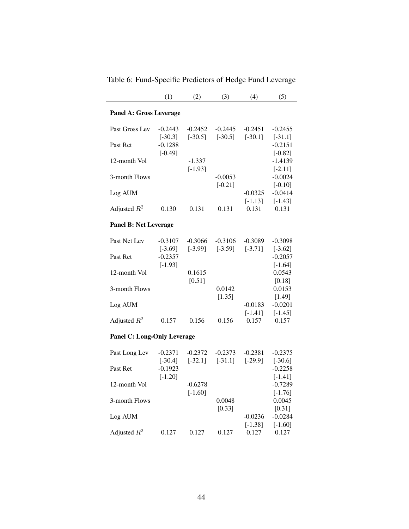|                                    | (1)                    | (2)                    | (3)                    | (4)                    | (5)                    |  |  |  |
|------------------------------------|------------------------|------------------------|------------------------|------------------------|------------------------|--|--|--|
| <b>Panel A: Gross Leverage</b>     |                        |                        |                        |                        |                        |  |  |  |
| Past Gross Lev                     | $-0.2443$<br>$[-30.3]$ | $-0.2452$<br>$[-30.5]$ | $-0.2445$<br>$[-30.5]$ | $-0.2451$<br>$[-30.1]$ | $-0.2455$<br>$[-31.1]$ |  |  |  |
| Past Ret                           | $-0.1288$<br>$[-0.49]$ |                        |                        |                        | $-0.2151$<br>$[-0.82]$ |  |  |  |
| 12-month Vol                       |                        | $-1.337$<br>$[-1.93]$  |                        |                        | $-1.4139$<br>$[-2.11]$ |  |  |  |
| 3-month Flows                      |                        |                        | $-0.0053$<br>$[-0.21]$ |                        | $-0.0024$<br>$[-0.10]$ |  |  |  |
| Log AUM                            |                        |                        |                        | $-0.0325$<br>$[-1.13]$ | $-0.0414$<br>$[-1.43]$ |  |  |  |
| Adjusted $R^2$                     | 0.130                  | 0.131                  | 0.131                  | 0.131                  | 0.131                  |  |  |  |
| <b>Panel B: Net Leverage</b>       |                        |                        |                        |                        |                        |  |  |  |
| Past Net Lev                       | $-0.3107$<br>$[-3.69]$ | $-0.3066$<br>$[-3.99]$ | $-0.3106$<br>$[-3.59]$ | $-0.3089$<br>$[-3.71]$ | $-0.3098$<br>$[-3.62]$ |  |  |  |
| Past Ret                           | $-0.2357$<br>$[-1.93]$ |                        |                        |                        | $-0.2057$<br>$[-1.64]$ |  |  |  |
| 12-month Vol                       |                        | 0.1615<br>[0.51]       |                        |                        | 0.0543<br>[0.18]       |  |  |  |
| 3-month Flows                      |                        |                        | 0.0142<br>[1.35]       |                        | 0.0153<br>[1.49]       |  |  |  |
| Log AUM                            |                        |                        |                        | $-0.0183$<br>$[-1.41]$ | $-0.0201$<br>$[-1.45]$ |  |  |  |
| Adjusted $R^2$                     | 0.157                  | 0.156                  | 0.156                  | 0.157                  | 0.157                  |  |  |  |
| <b>Panel C: Long-Only Leverage</b> |                        |                        |                        |                        |                        |  |  |  |
| Past Long Lev                      | $-0.2371$<br>$[-30.4]$ | $-0.2372$<br>$[-32.1]$ | $-0.2373$<br>$[-31.1]$ | $-0.2381$<br>$[-29.9]$ | $-0.2375$<br>$[-30.6]$ |  |  |  |
| Past Ret                           | $-0.1923$<br>$[-1.20]$ |                        |                        |                        | $-0.2258$<br>$[-1.41]$ |  |  |  |
| 12-month Vol                       |                        | $-0.6278$<br>$[-1.60]$ |                        |                        | $-0.7289$<br>$[-1.76]$ |  |  |  |
| 3-month Flows                      |                        |                        | 0.0048<br>[0.33]       |                        | 0.0045<br>[0.31]       |  |  |  |
| Log AUM                            |                        |                        |                        | $-0.0236$<br>$[-1.38]$ | $-0.0284$<br>$[-1.60]$ |  |  |  |
| Adjusted $R^2$                     | 0.127                  | 0.127                  | 0.127                  | 0.127                  | 0.127                  |  |  |  |

Table 6: Fund-Specific Predictors of Hedge Fund Leverage

Adjusted *R*<sup>2</sup> 0.127 0.127 0.127 0.127 0.127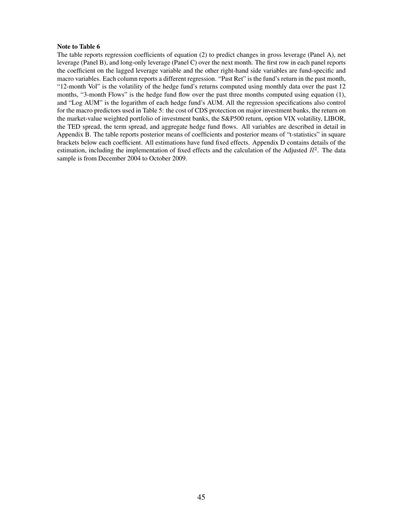#### Note to Table 6

The table reports regression coefficients of equation (2) to predict changes in gross leverage (Panel A), net leverage (Panel B), and long-only leverage (Panel C) over the next month. The first row in each panel reports the coefficient on the lagged leverage variable and the other right-hand side variables are fund-specific and macro variables. Each column reports a different regression. "Past Ret" is the fund's return in the past month, "12-month Vol" is the volatility of the hedge fund's returns computed using monthly data over the past 12 months, "3-month Flows" is the hedge fund flow over the past three months computed using equation (1), and "Log AUM" is the logarithm of each hedge fund's AUM. All the regression specifications also control for the macro predictors used in Table 5: the cost of CDS protection on major investment banks, the return on the market-value weighted portfolio of investment banks, the S&P500 return, option VIX volatility, LIBOR, the TED spread, the term spread, and aggregate hedge fund flows. All variables are described in detail in Appendix B. The table reports posterior means of coefficients and posterior means of "t-statistics" in square brackets below each coefficient. All estimations have fund fixed effects. Appendix D contains details of the estimation, including the implementation of fixed effects and the calculation of the Adjusted  $R^2$ . The data sample is from December 2004 to October 2009.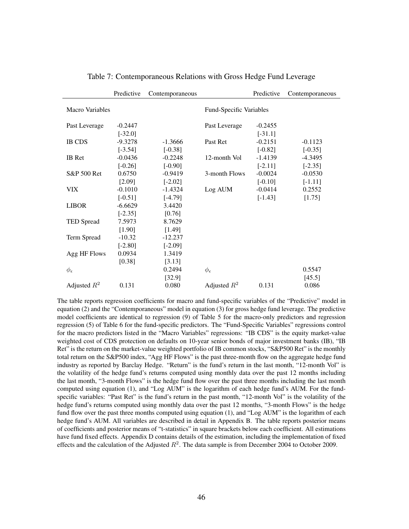|                        | Predictive | Contemporaneous |                         | Predictive | Contemporaneous |
|------------------------|------------|-----------------|-------------------------|------------|-----------------|
| <b>Macro Variables</b> |            |                 | Fund-Specific Variables |            |                 |
| Past Leverage          | $-0.2447$  |                 | Past Leverage           | $-0.2455$  |                 |
|                        | $[-32.0]$  |                 |                         | $[-31.1]$  |                 |
| <b>IB CDS</b>          | $-9.3278$  | $-1.3666$       | Past Ret                | $-0.2151$  | $-0.1123$       |
|                        | $[-3.54]$  | $[-0.38]$       |                         | $[-0.82]$  | $[-0.35]$       |
| <b>IB</b> Ret          | $-0.0436$  | $-0.2248$       | 12-month Vol            | $-1.4139$  | $-4.3495$       |
|                        | $[-0.26]$  | $[-0.90]$       |                         | $[-2.11]$  | $[-2.35]$       |
| S&P 500 Ret            | 0.6750     | $-0.9419$       | 3-month Flows           | $-0.0024$  | $-0.0530$       |
|                        | [2.09]     | $[-2.02]$       |                         | $[-0.10]$  | $[-1.11]$       |
| <b>VIX</b>             | $-0.1010$  | $-1.4324$       | Log AUM                 | $-0.0414$  | 0.2552          |
|                        | $[-0.51]$  | $[-4.79]$       |                         | $[-1.43]$  | [1.75]          |
| <b>LIBOR</b>           | $-6.6629$  | 3.4420          |                         |            |                 |
|                        | $[-2.35]$  | [0.76]          |                         |            |                 |
| <b>TED Spread</b>      | 7.5973     | 8.7629          |                         |            |                 |
|                        | [1.90]     | [1.49]          |                         |            |                 |
| Term Spread            | $-10.32$   | $-12.237$       |                         |            |                 |
|                        | $[-2.80]$  | $[-2.09]$       |                         |            |                 |
| Agg HF Flows           | 0.0934     | 1.3419          |                         |            |                 |
|                        | [0.38]     | [3.13]          |                         |            |                 |
| $\phi_{\epsilon}$      |            | 0.2494          | $\phi_{\epsilon}$       |            | 0.5547          |
|                        |            | [32.9]          |                         |            | [45.5]          |
| Adjusted $R^2$         | 0.131      | 0.080           | Adjusted $R^2$          | 0.131      | 0.086           |

Table 7: Contemporaneous Relations with Gross Hedge Fund Leverage

The table reports regression coefficients for macro and fund-specific variables of the "Predictive" model in equation (2) and the "Contemporaneous" model in equation (3) for gross hedge fund leverage. The predictive model coefficients are identical to regression (9) of Table 5 for the macro-only predictors and regression regression (5) of Table 6 for the fund-specific predictors. The "Fund-Specific Variables" regressions control for the macro predictors listed in the "Macro Variables" regressions: "IB CDS" is the equity market-value weighted cost of CDS protection on defaults on 10-year senior bonds of major investment banks (IB), "IB Ret" is the return on the market-value weighted portfolio of IB common stocks, "S&P500 Ret" is the monthly total return on the S&P500 index, "Agg HF Flows" is the past three-month flow on the aggregate hedge fund industry as reported by Barclay Hedge. "Return" is the fund's return in the last month, "12-month Vol" is the volatility of the hedge fund's returns computed using monthly data over the past 12 months including the last month, "3-month Flows" is the hedge fund flow over the past three months including the last month computed using equation (1), and "Log AUM" is the logarithm of each hedge fund's AUM. For the fundspecific variables: "Past Ret" is the fund's return in the past month, "12-month Vol" is the volatility of the hedge fund's returns computed using monthly data over the past 12 months, "3-month Flows" is the hedge fund flow over the past three months computed using equation (1), and "Log AUM" is the logarithm of each hedge fund's AUM. All variables are described in detail in Appendix B. The table reports posterior means of coefficients and posterior means of "t-statistics" in square brackets below each coefficient. All estimations have fund fixed effects. Appendix D contains details of the estimation, including the implementation of fixed effects and the calculation of the Adjusted  $R^2$ . The data sample is from December 2004 to October 2009.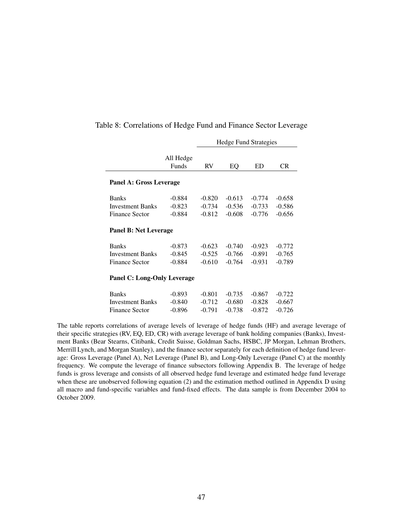|                                    |                    | <b>Hedge Fund Strategies</b> |          |          |           |  |  |
|------------------------------------|--------------------|------------------------------|----------|----------|-----------|--|--|
|                                    | All Hedge<br>Funds | RV                           | EQ       | ED       | <b>CR</b> |  |  |
| Panel A: Gross Leverage            |                    |                              |          |          |           |  |  |
| <b>Banks</b>                       | $-0.884$           | $-0.820$                     | $-0.613$ | $-0.774$ | $-0.658$  |  |  |
| <b>Investment Banks</b>            | $-0.823$           | $-0.734$                     | $-0.536$ | $-0.733$ | $-0.586$  |  |  |
| <b>Finance Sector</b>              | $-0.884$           | $-0.812$                     | $-0.608$ | $-0.776$ | $-0.656$  |  |  |
| <b>Panel B: Net Leverage</b>       |                    |                              |          |          |           |  |  |
| <b>Banks</b>                       | $-0.873$           | $-0.623$                     | $-0.740$ | $-0.923$ | $-0.772$  |  |  |
| <b>Investment Banks</b>            | $-0.845$           | $-0.525$                     | $-0.766$ | $-0.891$ | $-0.765$  |  |  |
| <b>Finance Sector</b>              | $-0.884$           | $-0.610$                     | $-0.764$ | $-0.931$ | $-0.789$  |  |  |
| <b>Panel C: Long-Only Leverage</b> |                    |                              |          |          |           |  |  |
| <b>Banks</b>                       | $-0.893$           | $-0.801$                     | $-0.735$ | $-0.867$ | $-0.722$  |  |  |
| <b>Investment Banks</b>            | $-0.840$           | $-0.712$                     | $-0.680$ | $-0.828$ | $-0.667$  |  |  |
| Finance Sector                     | $-0.896$           | -0.791                       | $-0.738$ | $-0.872$ | $-0.726$  |  |  |

### Table 8: Correlations of Hedge Fund and Finance Sector Leverage

The table reports correlations of average levels of leverage of hedge funds (HF) and average leverage of their specific strategies (RV, EQ, ED, CR) with average leverage of bank holding companies (Banks), Investment Banks (Bear Stearns, Citibank, Credit Suisse, Goldman Sachs, HSBC, JP Morgan, Lehman Brothers, Merrill Lynch, and Morgan Stanley), and the finance sector separately for each definition of hedge fund leverage: Gross Leverage (Panel A), Net Leverage (Panel B), and Long-Only Leverage (Panel C) at the monthly frequency. We compute the leverage of finance subsectors following Appendix B. The leverage of hedge funds is gross leverage and consists of all observed hedge fund leverage and estimated hedge fund leverage when these are unobserved following equation (2) and the estimation method outlined in Appendix D using all macro and fund-specific variables and fund-fixed effects. The data sample is from December 2004 to October 2009.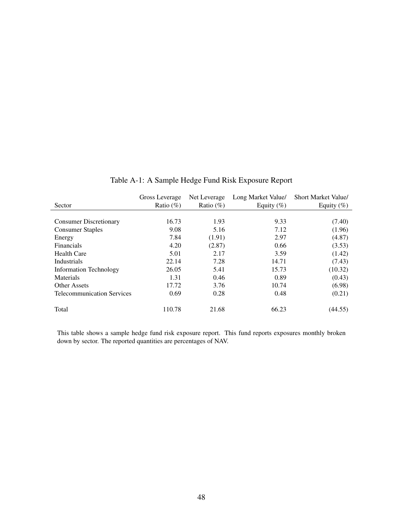|                                   | Gross Leverage | Net Leverage | Long Market Value/ | <b>Short Market Value/</b> |
|-----------------------------------|----------------|--------------|--------------------|----------------------------|
| Sector                            | Ratio $(\%)$   | Ratio $(\%)$ | Equity $(\%)$      | Equity $(\% )$             |
|                                   |                |              |                    |                            |
| <b>Consumer Discretionary</b>     | 16.73          | 1.93         | 9.33               | (7.40)                     |
| <b>Consumer Staples</b>           | 9.08           | 5.16         | 7.12               | (1.96)                     |
| Energy                            | 7.84           | (1.91)       | 2.97               | (4.87)                     |
| Financials                        | 4.20           | (2.87)       | 0.66               | (3.53)                     |
| <b>Health Care</b>                | 5.01           | 2.17         | 3.59               | (1.42)                     |
| Industrials                       | 22.14          | 7.28         | 14.71              | (7.43)                     |
| <b>Information Technology</b>     | 26.05          | 5.41         | 15.73              | (10.32)                    |
| Materials                         | 1.31           | 0.46         | 0.89               | (0.43)                     |
| <b>Other Assets</b>               | 17.72          | 3.76         | 10.74              | (6.98)                     |
| <b>Telecommunication Services</b> | 0.69           | 0.28         | 0.48               | (0.21)                     |
| Total                             | 110.78         | 21.68        | 66.23              | (44.55)                    |

Table A-1: A Sample Hedge Fund Risk Exposure Report

This table shows a sample hedge fund risk exposure report. This fund reports exposures monthly broken down by sector. The reported quantities are percentages of NAV.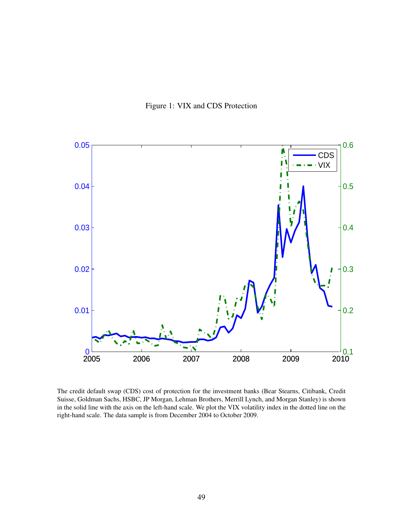



The credit default swap (CDS) cost of protection for the investment banks (Bear Stearns, Citibank, Credit Suisse, Goldman Sachs, HSBC, JP Morgan, Lehman Brothers, Merrill Lynch, and Morgan Stanley) is shown in the solid line with the axis on the left-hand scale. We plot the VIX volatility index in the dotted line on the right-hand scale. The data sample is from December 2004 to October 2009.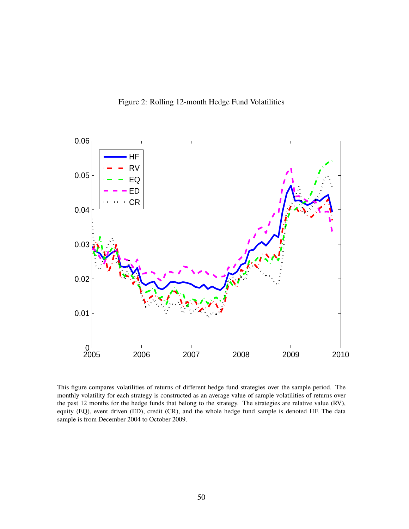

Figure 2: Rolling 12-month Hedge Fund Volatilities

This figure compares volatilities of returns of different hedge fund strategies over the sample period. The monthly volatility for each strategy is constructed as an average value of sample volatilities of returns over the past 12 months for the hedge funds that belong to the strategy. The strategies are relative value (RV), equity (EQ), event driven (ED), credit (CR), and the whole hedge fund sample is denoted HF. The data sample is from December 2004 to October 2009.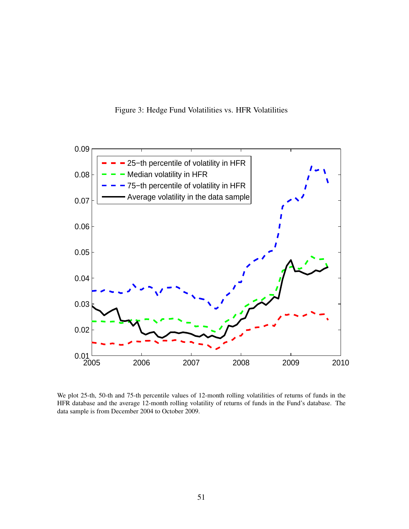

Figure 3: Hedge Fund Volatilities vs. HFR Volatilities

We plot 25-th, 50-th and 75-th percentile values of 12-month rolling volatilities of returns of funds in the HFR database and the average 12-month rolling volatility of returns of funds in the Fund's database. The data sample is from December 2004 to October 2009.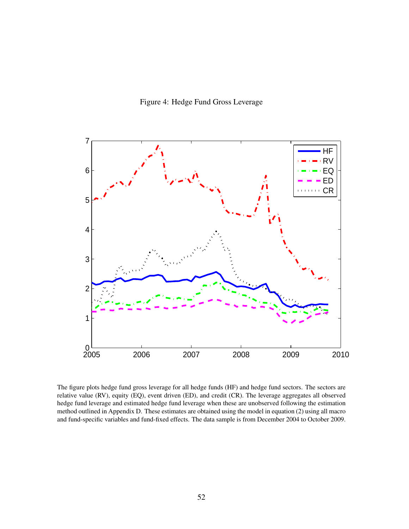Figure 4: Hedge Fund Gross Leverage



The figure plots hedge fund gross leverage for all hedge funds (HF) and hedge fund sectors. The sectors are relative value (RV), equity (EQ), event driven (ED), and credit (CR). The leverage aggregates all observed hedge fund leverage and estimated hedge fund leverage when these are unobserved following the estimation method outlined in Appendix D. These estimates are obtained using the model in equation (2) using all macro and fund-specific variables and fund-fixed effects. The data sample is from December 2004 to October 2009.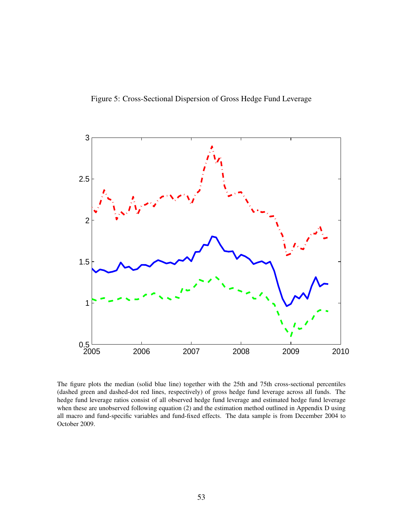



The figure plots the median (solid blue line) together with the 25th and 75th cross-sectional percentiles (dashed green and dashed-dot red lines, respectively) of gross hedge fund leverage across all funds. The hedge fund leverage ratios consist of all observed hedge fund leverage and estimated hedge fund leverage when these are unobserved following equation (2) and the estimation method outlined in Appendix D using all macro and fund-specific variables and fund-fixed effects. The data sample is from December 2004 to October 2009.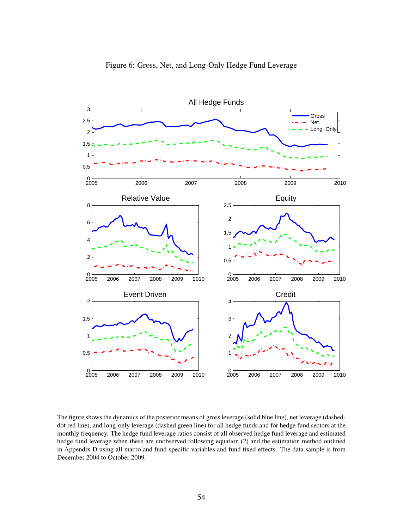

The figure shows the dynamics of the posterior means of gross leverage (solid blue line), net leverage (dasheddot red line), and long-only leverage (dashed green line) for all hedge funds and for hedge fund sectors at the monthly frequency. The hedge fund leverage ratios consist of all observed hedge fund leverage and estimated hedge fund leverage when these are unobserved following equation (2) and the estimation method outlined in Appendix D using all macro and fund-specific variables and fund fixed effects. The data sample is from December 2004 to October 2009.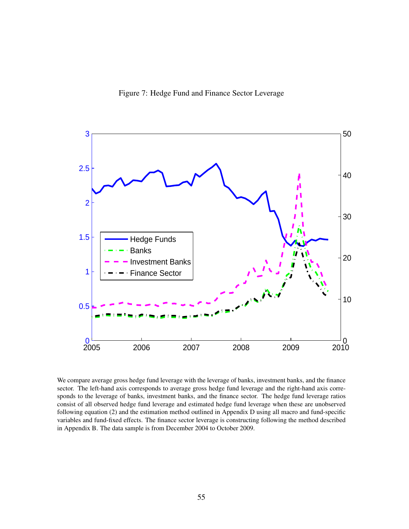Figure 7: Hedge Fund and Finance Sector Leverage



We compare average gross hedge fund leverage with the leverage of banks, investment banks, and the finance sector. The left-hand axis corresponds to average gross hedge fund leverage and the right-hand axis corresponds to the leverage of banks, investment banks, and the finance sector. The hedge fund leverage ratios consist of all observed hedge fund leverage and estimated hedge fund leverage when these are unobserved following equation (2) and the estimation method outlined in Appendix D using all macro and fund-specific variables and fund-fixed effects. The finance sector leverage is constructing following the method described in Appendix B. The data sample is from December 2004 to October 2009.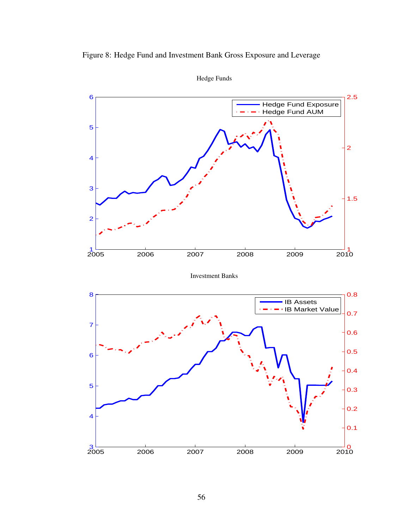## Figure 8: Hedge Fund and Investment Bank Gross Exposure and Leverage



Hedge Funds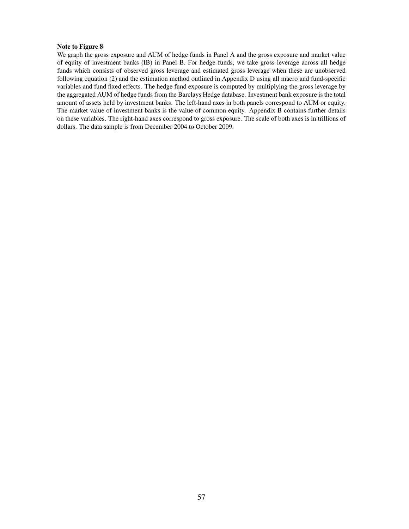#### Note to Figure 8

We graph the gross exposure and AUM of hedge funds in Panel A and the gross exposure and market value of equity of investment banks (IB) in Panel B. For hedge funds, we take gross leverage across all hedge funds which consists of observed gross leverage and estimated gross leverage when these are unobserved following equation (2) and the estimation method outlined in Appendix D using all macro and fund-specific variables and fund fixed effects. The hedge fund exposure is computed by multiplying the gross leverage by the aggregated AUM of hedge funds from the Barclays Hedge database. Investment bank exposure is the total amount of assets held by investment banks. The left-hand axes in both panels correspond to AUM or equity. The market value of investment banks is the value of common equity. Appendix B contains further details on these variables. The right-hand axes correspond to gross exposure. The scale of both axes is in trillions of dollars. The data sample is from December 2004 to October 2009.